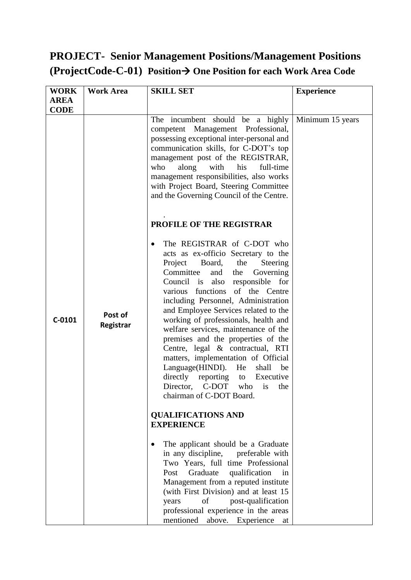### **PROJECT- Senior Management Positions/Management Positions (ProjectCode-C-01) Position One Position for each Work Area Code**

| <b>WORK</b> | <b>Work Area</b>     | <b>SKILL SET</b>                                                                                                                                                                                                                                                                                                                                                                                                                                                                                                                                                                                                                                                | <b>Experience</b> |  |
|-------------|----------------------|-----------------------------------------------------------------------------------------------------------------------------------------------------------------------------------------------------------------------------------------------------------------------------------------------------------------------------------------------------------------------------------------------------------------------------------------------------------------------------------------------------------------------------------------------------------------------------------------------------------------------------------------------------------------|-------------------|--|
| <b>AREA</b> |                      |                                                                                                                                                                                                                                                                                                                                                                                                                                                                                                                                                                                                                                                                 |                   |  |
| <b>CODE</b> |                      |                                                                                                                                                                                                                                                                                                                                                                                                                                                                                                                                                                                                                                                                 |                   |  |
|             |                      | The incumbent should be a highly<br>competent Management Professional,<br>possessing exceptional inter-personal and<br>communication skills, for C-DOT's top<br>management post of the REGISTRAR,<br>along<br>his<br>full-time<br>who<br>with<br>management responsibilities, also works<br>with Project Board, Steering Committee<br>and the Governing Council of the Centre.                                                                                                                                                                                                                                                                                  | Minimum 15 years  |  |
|             |                      | <b>PROFILE OF THE REGISTRAR</b>                                                                                                                                                                                                                                                                                                                                                                                                                                                                                                                                                                                                                                 |                   |  |
| $C-0101$    | Post of<br>Registrar | The REGISTRAR of C-DOT who<br>acts as ex-officio Secretary to the<br>Project<br>Board, the<br>Steering<br>Committee<br>and<br>Governing<br>the<br>Council is<br>also responsible for<br>functions of the Centre<br>various<br>including Personnel, Administration<br>and Employee Services related to the<br>working of professionals, health and<br>welfare services, maintenance of the<br>premises and the properties of the<br>Centre, legal & contractual, RTI<br>matters, implementation of Official<br>Language(HINDI). He<br>shall<br>be<br>directly reporting<br>Executive<br>to<br>Director,<br>C-DOT<br>who<br>the<br>is<br>chairman of C-DOT Board. |                   |  |
|             |                      | <b>QUALIFICATIONS AND</b>                                                                                                                                                                                                                                                                                                                                                                                                                                                                                                                                                                                                                                       |                   |  |
|             |                      | <b>EXPERIENCE</b>                                                                                                                                                                                                                                                                                                                                                                                                                                                                                                                                                                                                                                               |                   |  |
|             |                      | The applicant should be a Graduate<br>$\bullet$<br>in any discipline, preferable with<br>Two Years, full time Professional<br>Graduate<br>Post<br>qualification<br>in<br>Management from a reputed institute<br>(with First Division) and at least 15<br>of<br>post-qualification<br>years<br>professional experience in the areas<br>mentioned<br>above. Experience at                                                                                                                                                                                                                                                                                         |                   |  |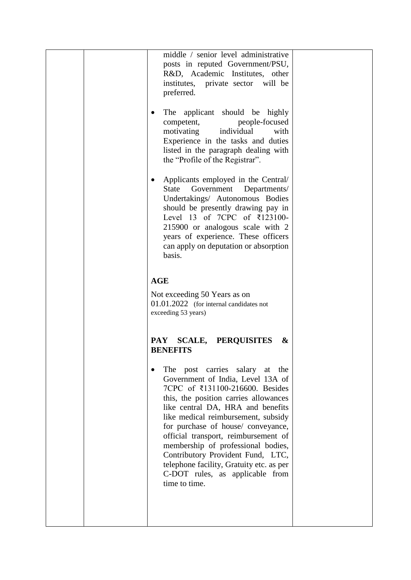| middle / senior level administrative<br>posts in reputed Government/PSU,<br>R&D, Academic Institutes, other<br>institutes, private sector will be<br>preferred.<br>The applicant should be highly<br>$\bullet$<br>people-focused<br>competent,<br>motivating<br>individual<br>with<br>Experience in the tasks and duties<br>listed in the paragraph dealing with<br>the "Profile of the Registrar".<br>Applicants employed in the Central/<br>$\bullet$<br><b>State</b><br>Government<br>Departments/<br>Undertakings/ Autonomous Bodies<br>should be presently drawing pay in<br>Level 13 of 7CPC of ₹123100-<br>215900 or analogous scale with 2<br>years of experience. These officers<br>can apply on deputation or absorption<br>basis. |  |
|----------------------------------------------------------------------------------------------------------------------------------------------------------------------------------------------------------------------------------------------------------------------------------------------------------------------------------------------------------------------------------------------------------------------------------------------------------------------------------------------------------------------------------------------------------------------------------------------------------------------------------------------------------------------------------------------------------------------------------------------|--|
| <b>AGE</b>                                                                                                                                                                                                                                                                                                                                                                                                                                                                                                                                                                                                                                                                                                                                   |  |
| Not exceeding 50 Years as on<br>01.01.2022 (for internal candidates not<br>exceeding 53 years)                                                                                                                                                                                                                                                                                                                                                                                                                                                                                                                                                                                                                                               |  |
| <b>SCALE,</b><br><b>PERQUISITES</b><br><b>PAY</b><br>&<br><b>BENEFITS</b>                                                                                                                                                                                                                                                                                                                                                                                                                                                                                                                                                                                                                                                                    |  |
| The post carries salary at the<br>Government of India, Level 13A of<br>7CPC of ₹131100-216600. Besides<br>this, the position carries allowances<br>like central DA, HRA and benefits<br>like medical reimbursement, subsidy<br>for purchase of house/conveyance,<br>official transport, reimbursement of<br>membership of professional bodies,<br>Contributory Provident Fund, LTC,<br>telephone facility, Gratuity etc. as per<br>C-DOT rules, as applicable from<br>time to time.                                                                                                                                                                                                                                                          |  |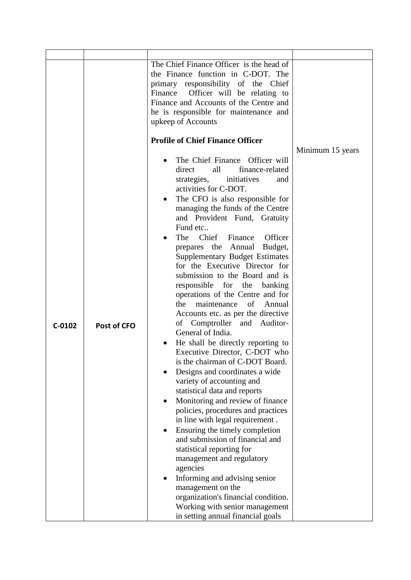|          |             | The Chief Finance Officer is the head of<br>the Finance function in C-DOT. The<br>primary responsibility of the Chief<br>Officer will be relating to<br>Finance<br>Finance and Accounts of the Centre and<br>he is responsible for maintenance and<br>upkeep of Accounts                                                                                                                                                                                                                                                                                                                                                                                                                                                                                                                                                                                                                                                                                                                                                                                                                                                                                                                                                                                                             |                  |
|----------|-------------|--------------------------------------------------------------------------------------------------------------------------------------------------------------------------------------------------------------------------------------------------------------------------------------------------------------------------------------------------------------------------------------------------------------------------------------------------------------------------------------------------------------------------------------------------------------------------------------------------------------------------------------------------------------------------------------------------------------------------------------------------------------------------------------------------------------------------------------------------------------------------------------------------------------------------------------------------------------------------------------------------------------------------------------------------------------------------------------------------------------------------------------------------------------------------------------------------------------------------------------------------------------------------------------|------------------|
|          |             | <b>Profile of Chief Finance Officer</b>                                                                                                                                                                                                                                                                                                                                                                                                                                                                                                                                                                                                                                                                                                                                                                                                                                                                                                                                                                                                                                                                                                                                                                                                                                              |                  |
|          |             |                                                                                                                                                                                                                                                                                                                                                                                                                                                                                                                                                                                                                                                                                                                                                                                                                                                                                                                                                                                                                                                                                                                                                                                                                                                                                      | Minimum 15 years |
| $C-0102$ | Post of CFO | The Chief Finance Officer will<br>direct<br>all<br>finance-related<br>initiatives<br>strategies,<br>and<br>activities for C-DOT.<br>The CFO is also responsible for<br>٠<br>managing the funds of the Centre<br>and Provident Fund, Gratuity<br>Fund etc<br>Chief<br>The<br>Finance<br>Officer<br>prepares the Annual Budget,<br><b>Supplementary Budget Estimates</b><br>for the Executive Director for<br>submission to the Board and is<br>responsible for the<br>banking<br>operations of the Centre and for<br>of<br>the<br>maintenance<br>Annual<br>Accounts etc. as per the directive<br>of Comptroller and Auditor-<br>General of India.<br>He shall be directly reporting to<br>Executive Director, C-DOT who<br>is the chairman of C-DOT Board.<br>Designs and coordinates a wide<br>variety of accounting and<br>statistical data and reports<br>Monitoring and review of finance<br>policies, procedures and practices<br>in line with legal requirement.<br>Ensuring the timely completion<br>and submission of financial and<br>statistical reporting for<br>management and regulatory<br>agencies<br>Informing and advising senior<br>management on the<br>organization's financial condition.<br>Working with senior management<br>in setting annual financial goals |                  |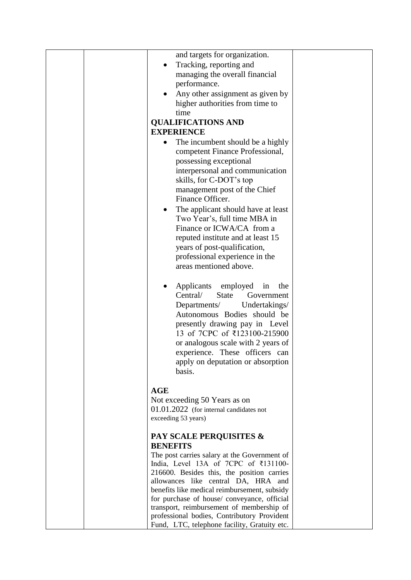|  | and targets for organization.                                                                                                                                                                                                                                                                                                          |  |
|--|----------------------------------------------------------------------------------------------------------------------------------------------------------------------------------------------------------------------------------------------------------------------------------------------------------------------------------------|--|
|  | Tracking, reporting and                                                                                                                                                                                                                                                                                                                |  |
|  | managing the overall financial                                                                                                                                                                                                                                                                                                         |  |
|  | performance.                                                                                                                                                                                                                                                                                                                           |  |
|  | Any other assignment as given by                                                                                                                                                                                                                                                                                                       |  |
|  | higher authorities from time to                                                                                                                                                                                                                                                                                                        |  |
|  | time                                                                                                                                                                                                                                                                                                                                   |  |
|  | <b>QUALIFICATIONS AND</b>                                                                                                                                                                                                                                                                                                              |  |
|  | <b>EXPERIENCE</b>                                                                                                                                                                                                                                                                                                                      |  |
|  | The incumbent should be a highly<br>competent Finance Professional,                                                                                                                                                                                                                                                                    |  |
|  | possessing exceptional                                                                                                                                                                                                                                                                                                                 |  |
|  | interpersonal and communication                                                                                                                                                                                                                                                                                                        |  |
|  | skills, for C-DOT's top                                                                                                                                                                                                                                                                                                                |  |
|  | management post of the Chief                                                                                                                                                                                                                                                                                                           |  |
|  | Finance Officer.                                                                                                                                                                                                                                                                                                                       |  |
|  | The applicant should have at least                                                                                                                                                                                                                                                                                                     |  |
|  | Two Year's, full time MBA in                                                                                                                                                                                                                                                                                                           |  |
|  | Finance or ICWA/CA from a                                                                                                                                                                                                                                                                                                              |  |
|  | reputed institute and at least 15                                                                                                                                                                                                                                                                                                      |  |
|  | years of post-qualification,                                                                                                                                                                                                                                                                                                           |  |
|  | professional experience in the<br>areas mentioned above.                                                                                                                                                                                                                                                                               |  |
|  |                                                                                                                                                                                                                                                                                                                                        |  |
|  | Applicants<br>employed<br>in<br>the<br>Central/<br><b>State</b><br>Government<br>Departments/<br>Undertakings/<br>Autonomous Bodies should be<br>presently drawing pay in Level<br>13 of 7CPC of ₹123100-215900<br>or analogous scale with 2 years of<br>experience. These officers can<br>apply on deputation or absorption<br>basis. |  |
|  | <b>AGE</b>                                                                                                                                                                                                                                                                                                                             |  |
|  | Not exceeding 50 Years as on                                                                                                                                                                                                                                                                                                           |  |
|  | $01.01.2022$ (for internal candidates not                                                                                                                                                                                                                                                                                              |  |
|  | exceeding 53 years)                                                                                                                                                                                                                                                                                                                    |  |
|  | <b>PAY SCALE PERQUISITES &amp;</b>                                                                                                                                                                                                                                                                                                     |  |
|  | <b>BENEFITS</b><br>The post carries salary at the Government of                                                                                                                                                                                                                                                                        |  |
|  | India, Level 13A of 7CPC of ₹131100-                                                                                                                                                                                                                                                                                                   |  |
|  | 216600. Besides this, the position carries                                                                                                                                                                                                                                                                                             |  |
|  | allowances like central DA, HRA and                                                                                                                                                                                                                                                                                                    |  |
|  | benefits like medical reimbursement, subsidy                                                                                                                                                                                                                                                                                           |  |
|  | for purchase of house/conveyance, official<br>transport, reimbursement of membership of                                                                                                                                                                                                                                                |  |
|  | professional bodies, Contributory Provident                                                                                                                                                                                                                                                                                            |  |
|  | Fund, LTC, telephone facility, Gratuity etc.                                                                                                                                                                                                                                                                                           |  |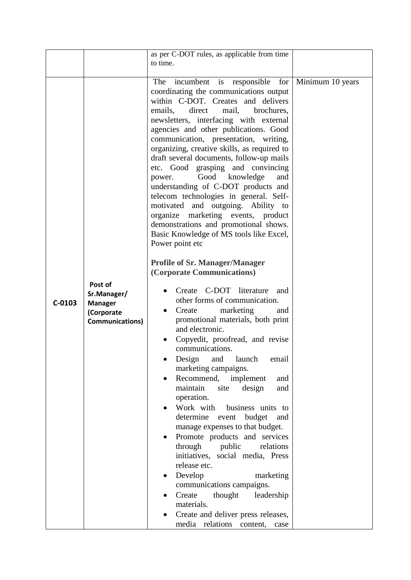|          |                                                                                  | as per C-DOT rules, as applicable from time<br>to time.                                                                                                                                                                                                                                                                                                                                                                                                                                                                                                                                                                                                                                                                                                                               |  |
|----------|----------------------------------------------------------------------------------|---------------------------------------------------------------------------------------------------------------------------------------------------------------------------------------------------------------------------------------------------------------------------------------------------------------------------------------------------------------------------------------------------------------------------------------------------------------------------------------------------------------------------------------------------------------------------------------------------------------------------------------------------------------------------------------------------------------------------------------------------------------------------------------|--|
|          |                                                                                  | Minimum 10 years                                                                                                                                                                                                                                                                                                                                                                                                                                                                                                                                                                                                                                                                                                                                                                      |  |
|          |                                                                                  | <b>Profile of Sr. Manager/Manager</b><br>(Corporate Communications)                                                                                                                                                                                                                                                                                                                                                                                                                                                                                                                                                                                                                                                                                                                   |  |
| $C-0103$ | Post of<br>Sr.Manager/<br><b>Manager</b><br>(Corporate<br><b>Communications)</b> | Create C-DOT literature<br>and<br>other forms of communication.<br>marketing<br>Create<br>and<br>٠<br>promotional materials, both print<br>and electronic.<br>Copyedit, proofread, and revise<br>communications.<br>Design and launch<br>email<br>marketing campaigns.<br>Recommend, implement<br>and<br>maintain<br>site<br>design<br>and<br>operation.<br>Work with<br>business units to<br>determine<br>event<br>budget<br>and<br>manage expenses to that budget.<br>Promote products and services<br>through<br>public<br>relations<br>initiatives, social media, Press<br>release etc.<br>Develop<br>marketing<br>$\bullet$<br>communications campaigns.<br>thought<br>Create<br>leadership<br>materials.<br>Create and deliver press releases,<br>media relations content, case |  |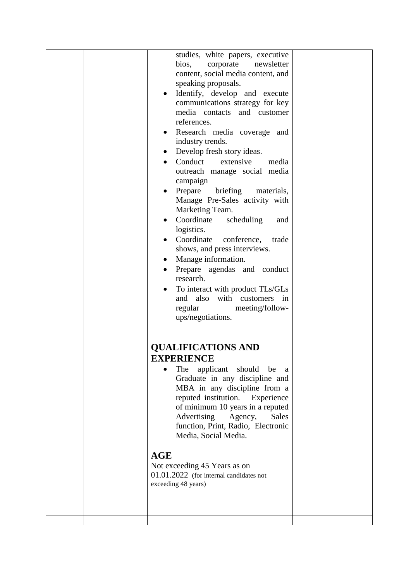| <b>QUALIFICATIONS AND</b><br><b>EXPERIENCE</b><br>The<br>should<br>applicant<br>be<br>a<br>Graduate in any discipline and<br>MBA in any discipline from a<br>reputed institution.<br>Experience<br>of minimum 10 years in a reputed<br>Advertising<br><b>Sales</b><br>Agency,<br>function, Print, Radio, Electronic<br>Media, Social Media.<br><b>AGE</b><br>Not exceeding 45 Years as on<br>$01.01.2022$ (for internal candidates not<br>exceeding 48 years) | bios,<br>corporate<br>newsletter<br>content, social media content, and<br>speaking proposals.<br>Identify, develop and execute<br>communications strategy for key<br>media contacts and customer<br>references.<br>Research media coverage and<br>industry trends.<br>Develop fresh story ideas.<br>$\bullet$<br>Conduct<br>extensive<br>media<br>$\bullet$<br>outreach manage social media<br>campaign<br>Prepare<br>briefing<br>materials,<br>Manage Pre-Sales activity with<br>Marketing Team.<br>Coordinate<br>scheduling<br>and<br>logistics.<br>Coordinate<br>conference,<br>trade<br>shows, and press interviews.<br>Manage information.<br>Prepare agendas and conduct<br>research.<br>To interact with product TLs/GLs<br>and also with customers in<br>regular<br>meeting/follow-<br>ups/negotiations. |  |
|---------------------------------------------------------------------------------------------------------------------------------------------------------------------------------------------------------------------------------------------------------------------------------------------------------------------------------------------------------------------------------------------------------------------------------------------------------------|------------------------------------------------------------------------------------------------------------------------------------------------------------------------------------------------------------------------------------------------------------------------------------------------------------------------------------------------------------------------------------------------------------------------------------------------------------------------------------------------------------------------------------------------------------------------------------------------------------------------------------------------------------------------------------------------------------------------------------------------------------------------------------------------------------------|--|
|                                                                                                                                                                                                                                                                                                                                                                                                                                                               |                                                                                                                                                                                                                                                                                                                                                                                                                                                                                                                                                                                                                                                                                                                                                                                                                  |  |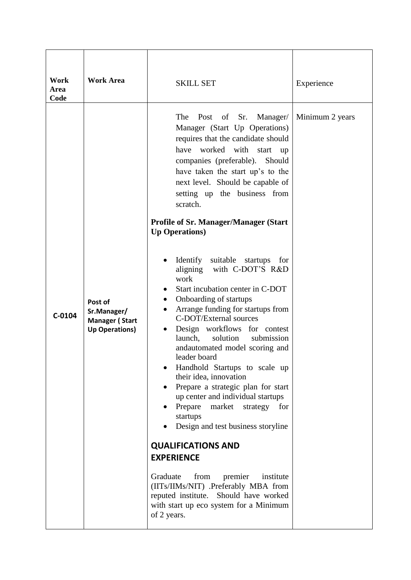| Work<br>Area<br>Code | <b>Work Area</b>                                                         | <b>SKILL SET</b>                                                                                                                                                                                                                                                                                                                                                                                                                                                                                                                                | Experience      |
|----------------------|--------------------------------------------------------------------------|-------------------------------------------------------------------------------------------------------------------------------------------------------------------------------------------------------------------------------------------------------------------------------------------------------------------------------------------------------------------------------------------------------------------------------------------------------------------------------------------------------------------------------------------------|-----------------|
|                      |                                                                          | The<br>Post of<br>Sr.<br>Manager/<br>Manager (Start Up Operations)<br>requires that the candidate should<br>have worked with<br>start<br>up<br>companies (preferable).<br>Should<br>have taken the start up's to the<br>next level. Should be capable of<br>setting up the business from<br>scratch.<br><b>Profile of Sr. Manager/Manager (Start</b> )<br><b>Up Operations</b> )<br>suitable startups<br>Identify<br>for                                                                                                                        | Minimum 2 years |
| $C-0104$             | Post of<br>Sr.Manager/<br><b>Manager (Start</b><br><b>Up Operations)</b> | with C-DOT'S R&D<br>aligning<br>work<br>Start incubation center in C-DOT<br>٠<br>Onboarding of startups<br>٠<br>Arrange funding for startups from<br>C-DOT/External sources<br>Design workflows for contest<br>$\bullet$<br>solution<br>launch,<br>submission<br>andautomated model scoring and<br>leader board<br>Handhold Startups to scale up<br>their idea, innovation<br>Prepare a strategic plan for start<br>up center and individual startups<br>market<br>Prepare<br>strategy<br>for<br>startups<br>Design and test business storyline |                 |
|                      |                                                                          | <b>QUALIFICATIONS AND</b><br><b>EXPERIENCE</b><br>Graduate<br>from<br>premier<br>institute<br>(IITs/IIMs/NIT) .Preferably MBA from<br>reputed institute. Should have worked<br>with start up eco system for a Minimum<br>of 2 years.                                                                                                                                                                                                                                                                                                            |                 |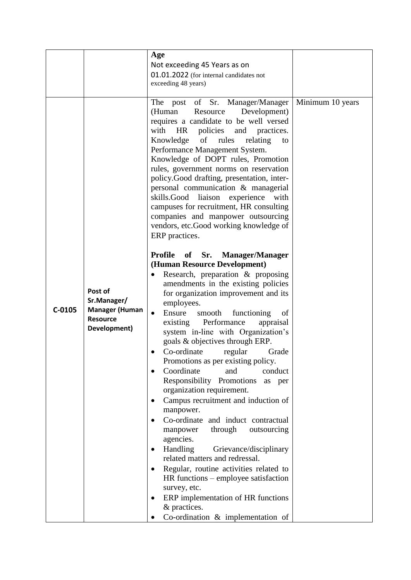|          |                                                                                    | Age<br>Not exceeding 45 Years as on<br>01.01.2022 (for internal candidates not<br>exceeding 48 years)                                                                                                                                                                                                                                                                                                                                                                                                                                                                                                                                                                                                                                                                                                                                                                                                                                                                                                                                                                                                                                                                                                                                                                                                                                                                                                                                                                                                                                                                                                                                                                                            |                  |
|----------|------------------------------------------------------------------------------------|--------------------------------------------------------------------------------------------------------------------------------------------------------------------------------------------------------------------------------------------------------------------------------------------------------------------------------------------------------------------------------------------------------------------------------------------------------------------------------------------------------------------------------------------------------------------------------------------------------------------------------------------------------------------------------------------------------------------------------------------------------------------------------------------------------------------------------------------------------------------------------------------------------------------------------------------------------------------------------------------------------------------------------------------------------------------------------------------------------------------------------------------------------------------------------------------------------------------------------------------------------------------------------------------------------------------------------------------------------------------------------------------------------------------------------------------------------------------------------------------------------------------------------------------------------------------------------------------------------------------------------------------------------------------------------------------------|------------------|
| $C-0105$ | Post of<br>Sr.Manager/<br><b>Manager (Human</b><br><b>Resource</b><br>Development) | post of Sr.<br>The<br>Manager/Manager<br>(Human<br>Resource<br>Development)<br>requires a candidate to be well versed<br>with<br>policies and practices.<br><b>HR</b><br>of<br>Knowledge<br>rules<br>relating<br>to<br>Performance Management System.<br>Knowledge of DOPT rules, Promotion<br>rules, government norms on reservation<br>policy.Good drafting, presentation, inter-<br>personal communication & managerial<br>skills.Good liaison<br>experience<br>with<br>campuses for recruitment, HR consulting<br>companies and manpower outsourcing<br>vendors, etc.Good working knowledge of<br>ERP practices.<br><b>Profile</b><br>of<br>Sr.<br><b>Manager/Manager</b><br>(Human Resource Development)<br>Research, preparation & proposing<br>$\bullet$<br>amendments in the existing policies<br>for organization improvement and its<br>employees.<br>Ensure<br>functioning<br>smooth<br>of<br>$\bullet$<br>Performance<br>existing<br>appraisal<br>system in-line with Organization's<br>goals & objectives through ERP.<br>Co-ordinate<br>regular<br>Grade<br>Promotions as per existing policy.<br>Coordinate<br>and<br>conduct<br>$\bullet$<br>Responsibility Promotions<br>as per<br>organization requirement.<br>Campus recruitment and induction of<br>$\bullet$<br>manpower.<br>Co-ordinate and induct contractual<br>$\bullet$<br>through<br>outsourcing<br>manpower<br>agencies.<br>Handling<br>Grievance/disciplinary<br>٠<br>related matters and redressal.<br>Regular, routine activities related to<br>$\bullet$<br>HR functions – employee satisfaction<br>survey, etc.<br>ERP implementation of HR functions<br>٠<br>& practices.<br>Co-ordination & implementation of | Minimum 10 years |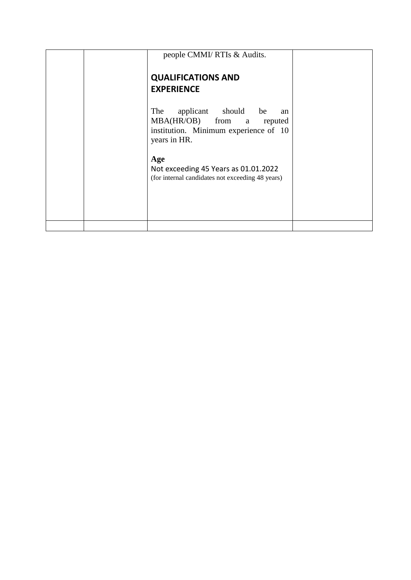| people CMMI/ RTIs & Audits.                                                                                                                                                                                               |  |
|---------------------------------------------------------------------------------------------------------------------------------------------------------------------------------------------------------------------------|--|
| <b>QUALIFICATIONS AND</b><br><b>EXPERIENCE</b>                                                                                                                                                                            |  |
| The<br>applicant should be<br>an<br>MBA(HR/OB) from a reputed<br>institution. Minimum experience of 10<br>years in HR.<br>Age<br>Not exceeding 45 Years as 01.01.2022<br>(for internal candidates not exceeding 48 years) |  |
|                                                                                                                                                                                                                           |  |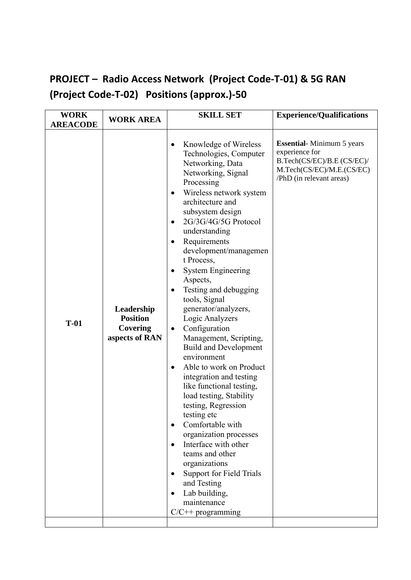## **PROJECT – Radio Access Network (Project Code-T-01) & 5G RAN (Project Code-T-02) Positions (approx.)-50**

| <b>WORK</b><br><b>AREACODE</b> | <b>WORK AREA</b>                                            | <b>SKILL SET</b>                                                                                                                                                                                                                                                                                                                                                                                                                                                                                                                                                                                                                                                                                                                                                                                                                                                                                                                                                                                                             | <b>Experience/Qualifications</b>                                                                                                           |
|--------------------------------|-------------------------------------------------------------|------------------------------------------------------------------------------------------------------------------------------------------------------------------------------------------------------------------------------------------------------------------------------------------------------------------------------------------------------------------------------------------------------------------------------------------------------------------------------------------------------------------------------------------------------------------------------------------------------------------------------------------------------------------------------------------------------------------------------------------------------------------------------------------------------------------------------------------------------------------------------------------------------------------------------------------------------------------------------------------------------------------------------|--------------------------------------------------------------------------------------------------------------------------------------------|
| $T-01$                         | Leadership<br><b>Position</b><br>Covering<br>aspects of RAN | Knowledge of Wireless<br>$\bullet$<br>Technologies, Computer<br>Networking, Data<br>Networking, Signal<br>Processing<br>Wireless network system<br>$\bullet$<br>architecture and<br>subsystem design<br>2G/3G/4G/5G Protocol<br>$\bullet$<br>understanding<br>Requirements<br>$\bullet$<br>development/managemen<br>t Process,<br><b>System Engineering</b><br>٠<br>Aspects,<br>Testing and debugging<br>$\bullet$<br>tools, Signal<br>generator/analyzers,<br>Logic Analyzers<br>Configuration<br>$\bullet$<br>Management, Scripting,<br><b>Build and Development</b><br>environment<br>Able to work on Product<br>$\bullet$<br>integration and testing<br>like functional testing,<br>load testing, Stability<br>testing, Regression<br>testing etc<br>Comfortable with<br>$\bullet$<br>organization processes<br>Interface with other<br>$\bullet$<br>teams and other<br>organizations<br><b>Support for Field Trials</b><br>$\bullet$<br>and Testing<br>Lab building,<br>$\bullet$<br>maintenance<br>$C/C++$ programming | <b>Essential-</b> Minimum 5 years<br>experience for<br>B.Tech(CS/EC)/B.E (CS/EC)/<br>M.Tech(CS/EC)/M.E.(CS/EC)<br>/PhD (in relevant areas) |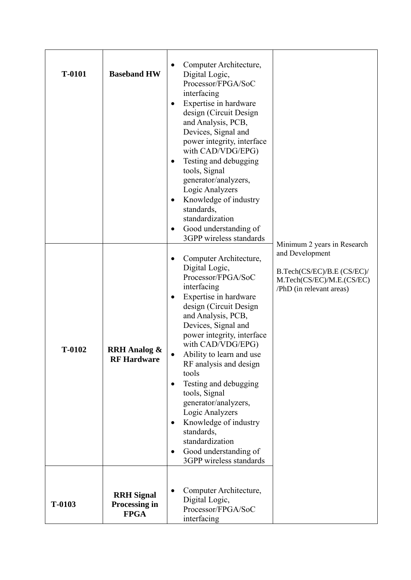| T-0101 | <b>Baseband HW</b>                                | Computer Architecture,<br>Digital Logic,<br>Processor/FPGA/SoC<br>interfacing<br>Expertise in hardware<br>٠<br>design (Circuit Design<br>and Analysis, PCB,<br>Devices, Signal and<br>power integrity, interface<br>with CAD/VDG/EPG)<br>Testing and debugging<br>$\bullet$<br>tools, Signal<br>generator/analyzers,<br>Logic Analyzers<br>Knowledge of industry<br>٠<br>standards,<br>standardization<br>Good understanding of<br>٠<br>3GPP wireless standards                                                                    |                                                                                                                                       |
|--------|---------------------------------------------------|------------------------------------------------------------------------------------------------------------------------------------------------------------------------------------------------------------------------------------------------------------------------------------------------------------------------------------------------------------------------------------------------------------------------------------------------------------------------------------------------------------------------------------|---------------------------------------------------------------------------------------------------------------------------------------|
| T-0102 | <b>RRH</b> Analog &<br><b>RF Hardware</b>         | Computer Architecture,<br>Digital Logic,<br>Processor/FPGA/SoC<br>interfacing<br>Expertise in hardware<br>٠<br>design (Circuit Design)<br>and Analysis, PCB,<br>Devices, Signal and<br>power integrity, interface<br>with CAD/VDG/EPG)<br>Ability to learn and use<br>RF analysis and design<br>tools<br>Testing and debugging<br>$\bullet$<br>tools, Signal<br>generator/analyzers,<br>Logic Analyzers<br>Knowledge of industry<br>standards,<br>standardization<br>Good understanding of<br>$\bullet$<br>3GPP wireless standards | Minimum 2 years in Research<br>and Development<br>B.Tech(CS/EC)/B.E (CS/EC)/<br>M.Tech(CS/EC)/M.E.(CS/EC)<br>/PhD (in relevant areas) |
| T-0103 | <b>RRH</b> Signal<br>Processing in<br><b>FPGA</b> | Computer Architecture,<br>Digital Logic,<br>Processor/FPGA/SoC<br>interfacing                                                                                                                                                                                                                                                                                                                                                                                                                                                      |                                                                                                                                       |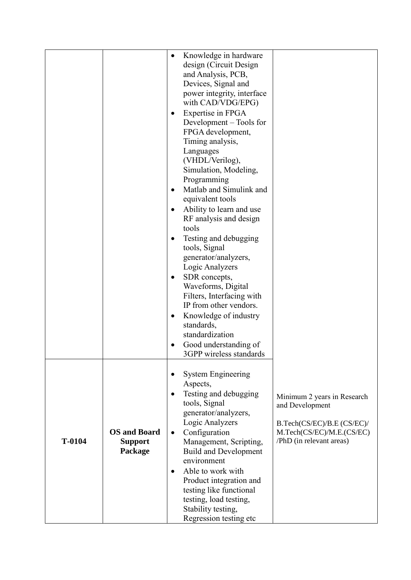|        |                                                  | ٠<br>$\bullet$<br>$\bullet$<br>$\bullet$<br>$\bullet$<br>$\bullet$<br>$\bullet$<br>$\bullet$ | Knowledge in hardware<br>design (Circuit Design)<br>and Analysis, PCB,<br>Devices, Signal and<br>power integrity, interface<br>with CAD/VDG/EPG)<br>Expertise in FPGA<br>Development – Tools for<br>FPGA development,<br>Timing analysis,<br>Languages<br>(VHDL/Verilog),<br>Simulation, Modeling,<br>Programming<br>Matlab and Simulink and<br>equivalent tools<br>Ability to learn and use<br>RF analysis and design<br>tools<br>Testing and debugging<br>tools, Signal<br>generator/analyzers,<br>Logic Analyzers<br>SDR concepts,<br>Waveforms, Digital<br>Filters, Interfacing with<br>IP from other vendors.<br>Knowledge of industry<br>standards,<br>standardization<br>Good understanding of<br>3GPP wireless standards |                                                                                                                                       |
|--------|--------------------------------------------------|----------------------------------------------------------------------------------------------|----------------------------------------------------------------------------------------------------------------------------------------------------------------------------------------------------------------------------------------------------------------------------------------------------------------------------------------------------------------------------------------------------------------------------------------------------------------------------------------------------------------------------------------------------------------------------------------------------------------------------------------------------------------------------------------------------------------------------------|---------------------------------------------------------------------------------------------------------------------------------------|
| T-0104 | <b>OS</b> and Board<br><b>Support</b><br>Package | $\bullet$<br>$\bullet$<br>$\bullet$<br>$\bullet$                                             | <b>System Engineering</b><br>Aspects,<br>Testing and debugging<br>tools, Signal<br>generator/analyzers,<br>Logic Analyzers<br>Configuration<br>Management, Scripting,<br><b>Build and Development</b><br>environment<br>Able to work with<br>Product integration and<br>testing like functional<br>testing, load testing,<br>Stability testing,<br>Regression testing etc                                                                                                                                                                                                                                                                                                                                                        | Minimum 2 years in Research<br>and Development<br>B.Tech(CS/EC)/B.E (CS/EC)/<br>M.Tech(CS/EC)/M.E.(CS/EC)<br>/PhD (in relevant areas) |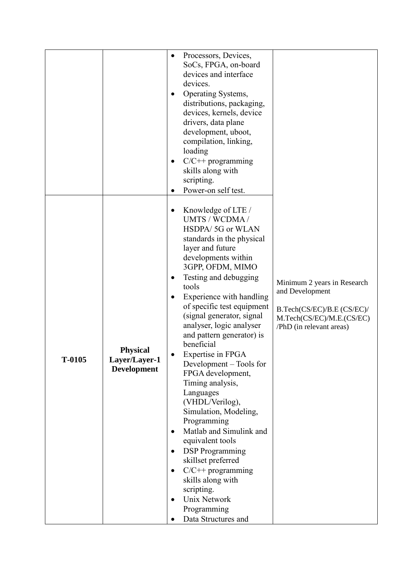|        |                                                        | Processors, Devices,<br>$\bullet$<br>SoCs, FPGA, on-board<br>devices and interface<br>devices.<br>Operating Systems,<br>$\bullet$<br>distributions, packaging,<br>devices, kernels, device<br>drivers, data plane<br>development, uboot,<br>compilation, linking,<br>loading<br>$C/C++$ programming<br>$\bullet$<br>skills along with<br>scripting.<br>Power-on self test.                                                                                                                                                                                                                                                                                                                                                                                                                                                                                                                                                                                               |
|--------|--------------------------------------------------------|--------------------------------------------------------------------------------------------------------------------------------------------------------------------------------------------------------------------------------------------------------------------------------------------------------------------------------------------------------------------------------------------------------------------------------------------------------------------------------------------------------------------------------------------------------------------------------------------------------------------------------------------------------------------------------------------------------------------------------------------------------------------------------------------------------------------------------------------------------------------------------------------------------------------------------------------------------------------------|
| T-0105 | <b>Physical</b><br>Layer/Layer-1<br><b>Development</b> | Knowledge of LTE /<br>$\bullet$<br>UMTS / WCDMA /<br>HSDPA/5G or WLAN<br>standards in the physical<br>layer and future<br>developments within<br>3GPP, OFDM, MIMO<br>Testing and debugging<br>$\bullet$<br>Minimum 2 years in Research<br>tools<br>and Development<br>Experience with handling<br>$\bullet$<br>of specific test equipment<br>B.Tech(CS/EC)/B.E (CS/EC)/<br>(signal generator, signal<br>M.Tech(CS/EC)/M.E.(CS/EC)<br>analyser, logic analyser<br>/PhD (in relevant areas)<br>and pattern generator) is<br>beneficial<br>Expertise in FPGA<br>Development – Tools for<br>FPGA development,<br>Timing analysis,<br>Languages<br>(VHDL/Verilog),<br>Simulation, Modeling,<br>Programming<br>Matlab and Simulink and<br>$\bullet$<br>equivalent tools<br><b>DSP</b> Programming<br>$\bullet$<br>skillset preferred<br>$C/C++$ programming<br>$\bullet$<br>skills along with<br>scripting.<br>Unix Network<br>$\bullet$<br>Programming<br>Data Structures and |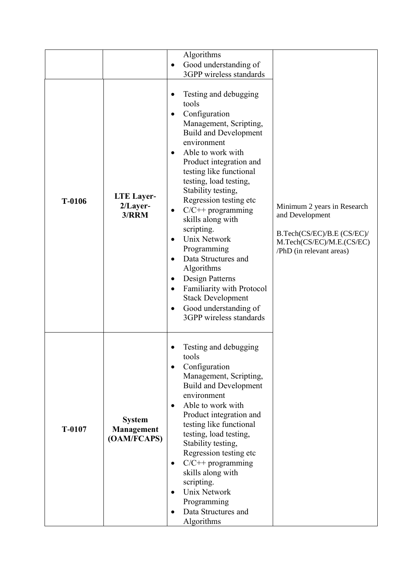|        |                                            | Algorithms<br>Good understanding of<br>$\bullet$                                                                                                                                                                                                                                                                                                                                                                                                                                                                                                                                                                                                                              |                                                                                                                                       |
|--------|--------------------------------------------|-------------------------------------------------------------------------------------------------------------------------------------------------------------------------------------------------------------------------------------------------------------------------------------------------------------------------------------------------------------------------------------------------------------------------------------------------------------------------------------------------------------------------------------------------------------------------------------------------------------------------------------------------------------------------------|---------------------------------------------------------------------------------------------------------------------------------------|
| T-0106 | <b>LTE</b> Layer-<br>2/Layer-<br>3/RRM     | 3GPP wireless standards<br>Testing and debugging<br>tools<br>Configuration<br>$\bullet$<br>Management, Scripting,<br><b>Build and Development</b><br>environment<br>Able to work with<br>$\bullet$<br>Product integration and<br>testing like functional<br>testing, load testing,<br>Stability testing,<br>Regression testing etc<br>$C/C++$ programming<br>$\bullet$<br>skills along with<br>scripting.<br><b>Unix Network</b><br>$\bullet$<br>Programming<br>Data Structures and<br>$\bullet$<br>Algorithms<br>Design Patterns<br>$\bullet$<br>Familiarity with Protocol<br>$\bullet$<br><b>Stack Development</b><br>Good understanding of<br>٠<br>3GPP wireless standards | Minimum 2 years in Research<br>and Development<br>B.Tech(CS/EC)/B.E (CS/EC)/<br>M.Tech(CS/EC)/M.E.(CS/EC)<br>/PhD (in relevant areas) |
| T-0107 | <b>System</b><br>Management<br>(OAM/FCAPS) | Testing and debugging<br>tools<br>Configuration<br>$\bullet$<br>Management, Scripting,<br><b>Build and Development</b><br>environment<br>Able to work with<br>$\bullet$<br>Product integration and<br>testing like functional<br>testing, load testing,<br>Stability testing,<br>Regression testing etc<br>$C/C++$ programming<br>$\bullet$<br>skills along with<br>scripting.<br>Unix Network<br>$\bullet$<br>Programming<br>Data Structures and<br>٠<br>Algorithms                                                                                                                                                                                                          |                                                                                                                                       |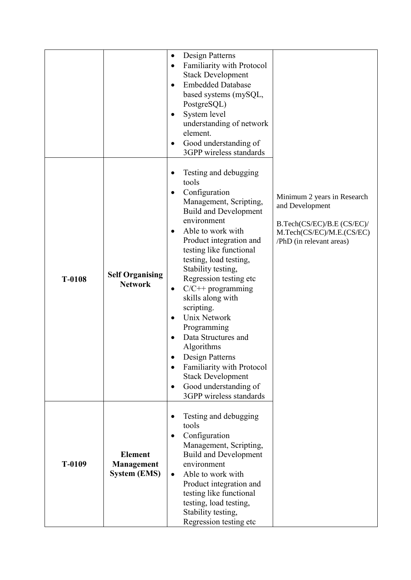|        |                                                            | Design Patterns<br>$\bullet$<br>Familiarity with Protocol<br>$\bullet$<br><b>Stack Development</b><br><b>Embedded Database</b><br>$\bullet$<br>based systems (mySQL,<br>PostgreSQL)<br>System level<br>٠<br>understanding of network<br>element.<br>Good understanding of<br>٠<br>3GPP wireless standards                                                                                                                                                                                                                                                                               |                                                                                                                                       |
|--------|------------------------------------------------------------|-----------------------------------------------------------------------------------------------------------------------------------------------------------------------------------------------------------------------------------------------------------------------------------------------------------------------------------------------------------------------------------------------------------------------------------------------------------------------------------------------------------------------------------------------------------------------------------------|---------------------------------------------------------------------------------------------------------------------------------------|
| T-0108 | <b>Self Organising</b><br><b>Network</b>                   | Testing and debugging<br>tools<br>Configuration<br>$\bullet$<br>Management, Scripting,<br><b>Build and Development</b><br>environment<br>Able to work with<br>Product integration and<br>testing like functional<br>testing, load testing,<br>Stability testing,<br>Regression testing etc<br>$C/C++$ programming<br>$\bullet$<br>skills along with<br>scripting.<br>Unix Network<br>Programming<br>Data Structures and<br>Algorithms<br>Design Patterns<br>Familiarity with Protocol<br>$\bullet$<br><b>Stack Development</b><br>Good understanding of<br>٠<br>3GPP wireless standards | Minimum 2 years in Research<br>and Development<br>B.Tech(CS/EC)/B.E (CS/EC)/<br>M.Tech(CS/EC)/M.E.(CS/EC)<br>/PhD (in relevant areas) |
| T-0109 | <b>Element</b><br><b>Management</b><br><b>System (EMS)</b> | Testing and debugging<br>tools<br>Configuration<br>$\bullet$<br>Management, Scripting,<br><b>Build and Development</b><br>environment<br>Able to work with<br>$\bullet$<br>Product integration and<br>testing like functional<br>testing, load testing,<br>Stability testing,<br>Regression testing etc                                                                                                                                                                                                                                                                                 |                                                                                                                                       |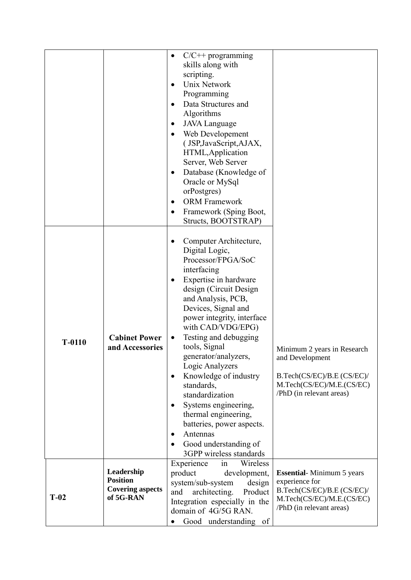|          |                                                                       | $C/C++$ programming<br>$\bullet$<br>skills along with<br>scripting.<br>Unix Network<br>$\bullet$<br>Programming<br>Data Structures and<br>$\bullet$<br>Algorithms<br><b>JAVA</b> Language<br>Web Developement<br>$\bullet$<br>(JSP, JavaScript, AJAX,<br>HTML, Application<br>Server, Web Server<br>Database (Knowledge of<br>$\bullet$<br>Oracle or MySql<br>orPostgres)<br><b>ORM Framework</b><br>Framework (Sping Boot,<br>Structs, BOOTSTRAP)                                                                                                           |                                                                                                                                           |
|----------|-----------------------------------------------------------------------|--------------------------------------------------------------------------------------------------------------------------------------------------------------------------------------------------------------------------------------------------------------------------------------------------------------------------------------------------------------------------------------------------------------------------------------------------------------------------------------------------------------------------------------------------------------|-------------------------------------------------------------------------------------------------------------------------------------------|
| $T-0110$ | <b>Cabinet Power</b><br>and Accessories                               | Computer Architecture,<br>Digital Logic,<br>Processor/FPGA/SoC<br>interfacing<br>Expertise in hardware<br>$\bullet$<br>design (Circuit Design)<br>and Analysis, PCB,<br>Devices, Signal and<br>power integrity, interface<br>with CAD/VDG/EPG)<br>Testing and debugging<br>٠<br>tools, Signal<br>generator/analyzers,<br>Logic Analyzers<br>Knowledge of industry<br>$\bullet$<br>standards,<br>standardization<br>Systems engineering,<br>thermal engineering,<br>batteries, power aspects.<br>Antennas<br>Good understanding of<br>3GPP wireless standards | Minimum 2 years in Research<br>and Development<br>B.Tech(CS/EC)/B.E (CS/EC)/<br>M.Tech(CS/EC)/M.E.(CS/EC)<br>/PhD (in relevant areas)     |
| $T-02$   | Leadership<br><b>Position</b><br><b>Covering aspects</b><br>of 5G-RAN | Experience<br>in<br>Wireless<br>product<br>development,<br>system/sub-system<br>design<br>architecting.<br>and<br>Product<br>Integration especially in the<br>domain of 4G/5G RAN.<br>Good understanding of                                                                                                                                                                                                                                                                                                                                                  | <b>Essential-Minimum 5 years</b><br>experience for<br>B.Tech(CS/EC)/B.E (CS/EC)/<br>M.Tech(CS/EC)/M.E.(CS/EC)<br>/PhD (in relevant areas) |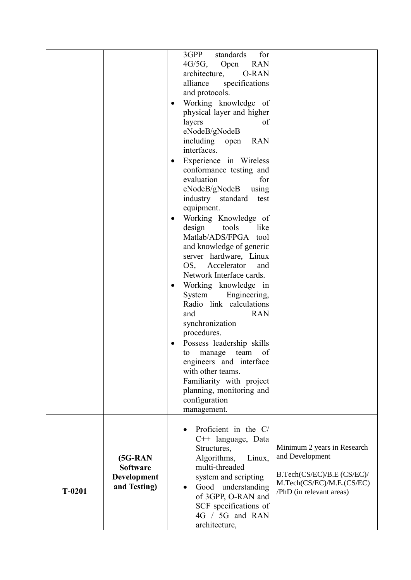|          |                                                              | 3GPP<br>standards<br>for<br>$4G/5G$ ,<br><b>RAN</b><br>Open<br>architecture,<br><b>O-RAN</b><br>alliance<br>specifications<br>and protocols.<br>Working knowledge of<br>$\bullet$<br>physical layer and higher<br>of<br>layers<br>eNodeB/gNodeB<br>including open<br><b>RAN</b><br>interfaces.<br>Experience in Wireless<br>$\bullet$<br>conformance testing and<br>evaluation<br>for<br>eNodeB/gNodeB<br>using<br>industry standard<br>test<br>equipment.<br>Working Knowledge of<br>$\bullet$<br>design<br>tools<br>like<br>Matlab/ADS/FPGA tool<br>and knowledge of generic<br>server hardware, Linux<br>OS, Accelerator<br>and<br>Network Interface cards.<br>Working knowledge in<br>$\bullet$<br>System<br>Engineering,<br>Radio link calculations<br>and<br><b>RAN</b><br>synchronization<br>procedures.<br>Possess leadership skills<br>of<br>to<br>manage<br>team<br>engineers and interface<br>with other teams. |
|----------|--------------------------------------------------------------|----------------------------------------------------------------------------------------------------------------------------------------------------------------------------------------------------------------------------------------------------------------------------------------------------------------------------------------------------------------------------------------------------------------------------------------------------------------------------------------------------------------------------------------------------------------------------------------------------------------------------------------------------------------------------------------------------------------------------------------------------------------------------------------------------------------------------------------------------------------------------------------------------------------------------|
|          |                                                              | Familiarity with project<br>planning, monitoring and<br>configuration<br>management.                                                                                                                                                                                                                                                                                                                                                                                                                                                                                                                                                                                                                                                                                                                                                                                                                                       |
| $T-0201$ | $(5G-RAN)$<br><b>Software</b><br>Development<br>and Testing) | Proficient in the C/<br>$\bullet$<br>$C++$ language, Data<br>Minimum 2 years in Research<br>Structures,<br>and Development<br>Algorithms,<br>Linux,<br>multi-threaded<br>B.Tech(CS/EC)/B.E (CS/EC)/<br>system and scripting<br>M.Tech(CS/EC)/M.E.(CS/EC)<br>Good understanding<br>/PhD (in relevant areas)<br>of 3GPP, O-RAN and<br>SCF specifications of<br>4G / 5G and RAN<br>architecture,                                                                                                                                                                                                                                                                                                                                                                                                                                                                                                                              |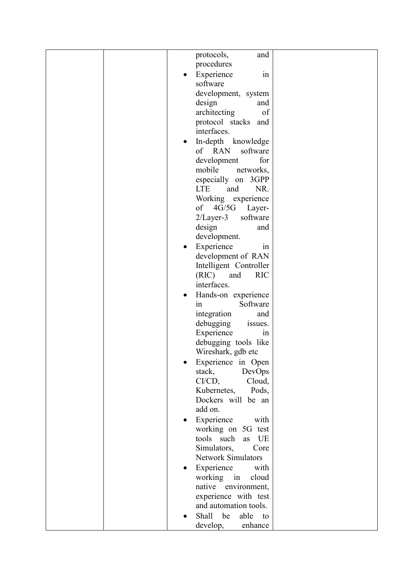|  | protocols,<br>and               |
|--|---------------------------------|
|  | procedures                      |
|  | Experience<br>in                |
|  | software                        |
|  | development, system             |
|  | design<br>and                   |
|  | architecting<br>of              |
|  | protocol stacks<br>and          |
|  | interfaces.                     |
|  | In-depth knowledge              |
|  | of RAN<br>software              |
|  | development<br>for              |
|  | mobile<br>networks,             |
|  | especially<br>on 3GPP           |
|  | <b>LTE</b><br>NR.<br>and        |
|  | Working experience              |
|  | 4G/5G<br>of<br>Layer-           |
|  | software<br>$2/Layer-3$         |
|  | design<br>and                   |
|  | development.                    |
|  | Experience<br>1n                |
|  | development of RAN              |
|  | Intelligent Controller          |
|  | (RIC)<br><b>RIC</b><br>and      |
|  | interfaces.                     |
|  | Hands-on experience<br>Software |
|  | 1n<br>integration<br>and        |
|  | debugging<br>issues.            |
|  | Experience<br>1n                |
|  | debugging tools like            |
|  | Wireshark, gdb etc              |
|  | Experience in Open              |
|  | DevOps<br>stack,                |
|  | $CI/CD$ ,<br>Cloud,             |
|  | Kubernetes,<br>Pods,            |
|  | Dockers will be an              |
|  | add on.                         |
|  | Experience<br>with              |
|  | working on 5G test              |
|  | tools such<br>as UE             |
|  | Simulators,<br>Core             |
|  | <b>Network Simulators</b>       |
|  | Experience<br>with              |
|  | working in<br>cloud             |
|  | native environment,             |
|  | experience with test            |
|  | and automation tools.           |
|  | be<br>Shall<br>able<br>to       |
|  | develop,<br>enhance             |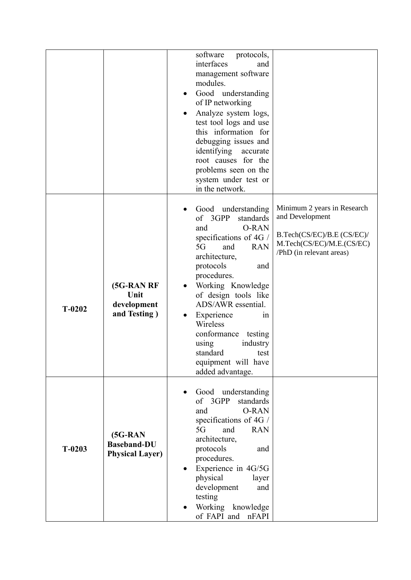|          |                                                            | software<br>protocols,<br>interfaces<br>and<br>management software<br>modules.<br>Good understanding<br>$\bullet$<br>of IP networking<br>Analyze system logs,<br>test tool logs and use<br>this information for<br>debugging issues and<br>identifying<br>accurate<br>root causes for the<br>problems seen on the<br>system under test or<br>in the network.                         |                                                                                                                                       |
|----------|------------------------------------------------------------|--------------------------------------------------------------------------------------------------------------------------------------------------------------------------------------------------------------------------------------------------------------------------------------------------------------------------------------------------------------------------------------|---------------------------------------------------------------------------------------------------------------------------------------|
| $T-0202$ | (5G-RAN RF<br>Unit<br>development<br>and Testing)          | Good understanding<br>of 3GPP<br>standards<br>O-RAN<br>and<br>specifications of 4G /<br>5G<br><b>RAN</b><br>and<br>architecture,<br>protocols<br>and<br>procedures.<br>Working Knowledge<br>of design tools like<br>ADS/AWR essential.<br>Experience<br>1n<br>Wireless<br>conformance<br>testing<br>industry<br>using<br>standard<br>test<br>equipment will have<br>added advantage. | Minimum 2 years in Research<br>and Development<br>B.Tech(CS/EC)/B.E (CS/EC)/<br>M.Tech(CS/EC)/M.E.(CS/EC)<br>/PhD (in relevant areas) |
| $T-0203$ | $(5G-RAN)$<br><b>Baseband-DU</b><br><b>Physical Layer)</b> | Good understanding<br>of 3GPP<br>standards<br><b>O-RAN</b><br>and<br>specifications of 4G /<br>and<br>5G<br><b>RAN</b><br>architecture,<br>protocols<br>and<br>procedures.<br>Experience in 4G/5G<br>physical<br>layer<br>development<br>and<br>testing<br>Working knowledge<br>of FAPI and<br>nFAPI                                                                                 |                                                                                                                                       |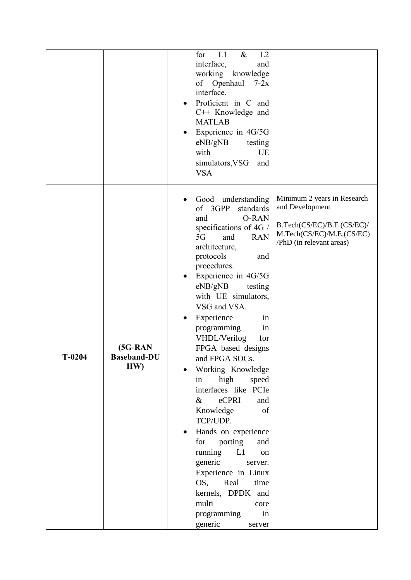|          |                                        | for<br>L1<br>$\&$<br>L2<br>interface,<br>and<br>working<br>knowledge<br>of Openhaul<br>$7-2x$<br>interface.<br>Proficient in C and<br>$C++$ Knowledge and<br><b>MATLAB</b><br>Experience in 4G/5G<br>eNB/gNB<br>testing<br>with<br>UE<br>simulators, VSG<br>and<br><b>VSA</b>                                                                                                                                                                                                                                                                                                                                                                                                                                                                                                                                                                                      |
|----------|----------------------------------------|--------------------------------------------------------------------------------------------------------------------------------------------------------------------------------------------------------------------------------------------------------------------------------------------------------------------------------------------------------------------------------------------------------------------------------------------------------------------------------------------------------------------------------------------------------------------------------------------------------------------------------------------------------------------------------------------------------------------------------------------------------------------------------------------------------------------------------------------------------------------|
| $T-0204$ | $(5G-RAN)$<br><b>Baseband-DU</b><br>HW | Minimum 2 years in Research<br>Good understanding<br>and Development<br>of 3GPP<br>standards<br><b>O-RAN</b><br>and<br>B.Tech(CS/EC)/B.E (CS/EC)/<br>specifications of 4G /<br>M.Tech(CS/EC)/M.E.(CS/EC)<br>5G<br>and<br><b>RAN</b><br>/PhD (in relevant areas)<br>architecture,<br>protocols<br>and<br>procedures.<br>Experience in 4G/5G<br>eNB/gNB<br>testing<br>with UE simulators,<br>VSG and VSA.<br>Experience<br>in<br>programming<br>in<br>VHDL/Verilog<br>for<br>FPGA based designs<br>and FPGA SOCs.<br>Working Knowledge<br>high<br>speed<br>in<br>interfaces like PCIe<br>eCPRI<br>$\&$<br>and<br>Knowledge<br>of<br>TCP/UDP.<br>Hands on experience<br>for porting<br>and<br>running<br>L1<br>on<br>generic<br>server.<br>Experience in Linux<br>OS,<br>Real<br>time<br>kernels, DPDK and<br>multi<br>core<br>programming<br>in<br>generic<br>server |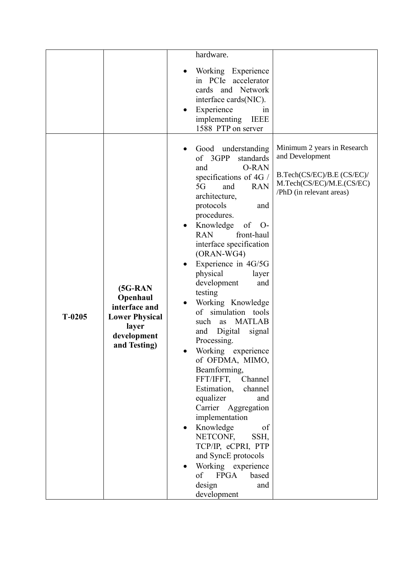|          |                                                                                                          | hardware.                                                                                                                                                                                                                                                                                                                                                                                                                                                                                                                                                                                                                                                                                                                                                                                                                       |                                                                                                                                       |
|----------|----------------------------------------------------------------------------------------------------------|---------------------------------------------------------------------------------------------------------------------------------------------------------------------------------------------------------------------------------------------------------------------------------------------------------------------------------------------------------------------------------------------------------------------------------------------------------------------------------------------------------------------------------------------------------------------------------------------------------------------------------------------------------------------------------------------------------------------------------------------------------------------------------------------------------------------------------|---------------------------------------------------------------------------------------------------------------------------------------|
|          |                                                                                                          | Working Experience<br>in PCIe accelerator<br>cards and Network<br>interface cards(NIC).<br>Experience<br>1n<br>implementing<br><b>IEEE</b><br>1588 PTP on server                                                                                                                                                                                                                                                                                                                                                                                                                                                                                                                                                                                                                                                                |                                                                                                                                       |
| $T-0205$ | $(5G-RAN)$<br>Openhaul<br>interface and<br><b>Lower Physical</b><br>layer<br>development<br>and Testing) | Good understanding<br>of 3GPP<br>standards<br><b>O-RAN</b><br>and<br>specifications of 4G /<br>5G<br>and<br><b>RAN</b><br>architecture,<br>protocols<br>and<br>procedures.<br>Knowledge<br>of<br>$O-$<br><b>RAN</b><br>front-haul<br>interface specification<br>$(ORAN-WG4)$<br>Experience in 4G/5G<br>physical<br>layer<br>development<br>and<br>testing<br>Working Knowledge<br>of simulation tools<br><b>MATLAB</b><br>such<br>as<br>Digital<br>signal<br>and<br>Processing.<br>Working experience<br>of OFDMA, MIMO,<br>Beamforming,<br>FFT/IFFT,<br>Channel<br>Estimation,<br>channel<br>equalizer<br>and<br>Carrier Aggregation<br>implementation<br>Knowledge<br>of<br>NETCONF,<br>SSH,<br>TCP/IP, eCPRI, PTP<br>and SyncE protocols<br>Working experience<br><b>FPGA</b><br>of<br>based<br>design<br>and<br>development | Minimum 2 years in Research<br>and Development<br>B.Tech(CS/EC)/B.E (CS/EC)/<br>M.Tech(CS/EC)/M.E.(CS/EC)<br>/PhD (in relevant areas) |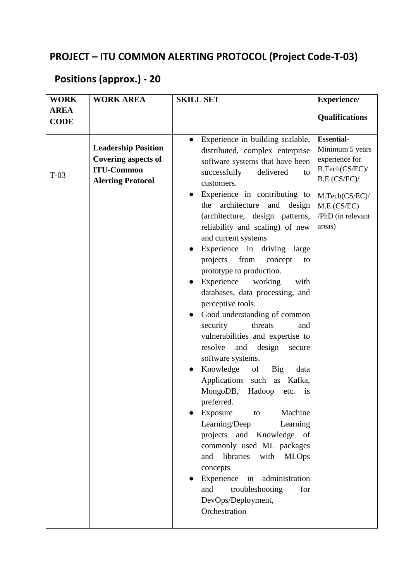### **PROJECT – ITU COMMON ALERTING PROTOCOL (Project Code-T-03)**

#### **Positions (approx.) - 20**

| <b>WORK</b>                | <b>WORK AREA</b>                                                                                          | <b>SKILL SET</b>                                                                                                                                                                                                                                                                                                                                                                                                                                                                                                                                                                                                                                                                                                                                                                                                                                                                                                                                                                                                                                                                                                        | <b>Experience/</b>                                                                                                                                       |
|----------------------------|-----------------------------------------------------------------------------------------------------------|-------------------------------------------------------------------------------------------------------------------------------------------------------------------------------------------------------------------------------------------------------------------------------------------------------------------------------------------------------------------------------------------------------------------------------------------------------------------------------------------------------------------------------------------------------------------------------------------------------------------------------------------------------------------------------------------------------------------------------------------------------------------------------------------------------------------------------------------------------------------------------------------------------------------------------------------------------------------------------------------------------------------------------------------------------------------------------------------------------------------------|----------------------------------------------------------------------------------------------------------------------------------------------------------|
| <b>AREA</b><br><b>CODE</b> |                                                                                                           |                                                                                                                                                                                                                                                                                                                                                                                                                                                                                                                                                                                                                                                                                                                                                                                                                                                                                                                                                                                                                                                                                                                         | <b>Qualifications</b>                                                                                                                                    |
| $T-03$                     | <b>Leadership Position</b><br><b>Covering aspects of</b><br><b>ITU-Common</b><br><b>Alerting Protocol</b> | Experience in building scalable,<br>$\bullet$<br>distributed, complex enterprise<br>software systems that have been<br>successfully<br>delivered<br>to<br>customers.<br>Experience in contributing to<br>architecture<br>and<br>the<br>design<br>(architecture, design patterns,<br>reliability and scaling) of new<br>and current systems<br>Experience in driving large<br>from<br>projects<br>concept<br>to<br>prototype to production.<br>Experience<br>working<br>with<br>databases, data processing, and<br>perceptive tools.<br>Good understanding of common<br>security<br>threats<br>and<br>vulnerabilities and expertise to<br>resolve<br>and<br>design<br>secure<br>software systems.<br>Knowledge<br>of<br><b>Big</b><br>data<br>Applications such as<br>Kafka,<br>MongoDB,<br>Hadoop<br>etc.<br>is<br>preferred.<br>Machine<br>Exposure<br>to<br>Learning/Deep<br>Learning<br>projects and Knowledge of<br>commonly used ML packages<br>libraries<br>and<br>with<br><b>MLOps</b><br>concepts<br>Experience<br>administration<br>in<br>and<br>troubleshooting<br>for<br>DevOps/Deployment,<br>Orchestration | <b>Essential-</b><br>Minimum 5 years<br>experience for<br>B.Tech(CS/EC)/<br>B.E (CS/EC)/<br>M.Tech(CS/EC)/<br>M.E.(CS/EC)<br>/PhD (in relevant<br>areas) |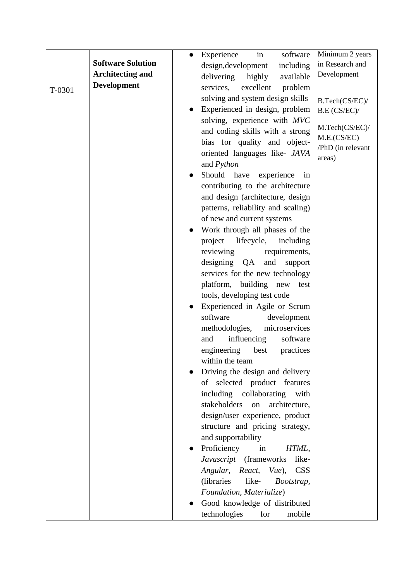|        |                          | Experience<br>software<br>in<br>$\bullet$    | Minimum 2 years   |
|--------|--------------------------|----------------------------------------------|-------------------|
|        | <b>Software Solution</b> | design, development<br>including             | in Research and   |
|        | <b>Architecting and</b>  | available<br>delivering<br>highly            | Development       |
| T-0301 | <b>Development</b>       | services,<br>excellent<br>problem            |                   |
|        |                          | solving and system design skills             | B.Tech(CS/EC)/    |
|        |                          | Experienced in design, problem               | B.E (CS/EC)/      |
|        |                          | solving, experience with MVC                 |                   |
|        |                          | and coding skills with a strong              | M.Tech(CS/EC)/    |
|        |                          | bias for quality and object-                 | M.E.(CS/EC)       |
|        |                          | oriented languages like- JAVA                | /PhD (in relevant |
|        |                          | and <i>Python</i>                            | areas)            |
|        |                          | Should have<br>experience<br>in<br>$\bullet$ |                   |
|        |                          | contributing to the architecture             |                   |
|        |                          | and design (architecture, design             |                   |
|        |                          | patterns, reliability and scaling)           |                   |
|        |                          | of new and current systems                   |                   |
|        |                          | Work through all phases of the               |                   |
|        |                          | lifecycle,<br>project<br>including           |                   |
|        |                          | reviewing<br>requirements,                   |                   |
|        |                          | designing QA<br>and<br>support               |                   |
|        |                          | services for the new technology              |                   |
|        |                          | platform, building new<br>test               |                   |
|        |                          | tools, developing test code                  |                   |
|        |                          | Experienced in Agile or Scrum                |                   |
|        |                          | software<br>development                      |                   |
|        |                          | methodologies,<br>microservices              |                   |
|        |                          | influencing<br>software<br>and               |                   |
|        |                          | best<br>engineering<br>practices             |                   |
|        |                          | within the team                              |                   |
|        |                          | Driving the design and delivery              |                   |
|        |                          | of selected product features                 |                   |
|        |                          | including collaborating<br>with              |                   |
|        |                          | stakeholders<br>architecture,<br>on          |                   |
|        |                          | design/user experience, product              |                   |
|        |                          | structure and pricing strategy,              |                   |
|        |                          | and supportability                           |                   |
|        |                          | Proficiency<br>in<br>HTML,                   |                   |
|        |                          | Javascript (frameworks<br>like-              |                   |
|        |                          | Angular,<br>React,<br>$Vue$ ,<br><b>CSS</b>  |                   |
|        |                          | (libraries)<br>like-<br>Bootstrap,           |                   |
|        |                          | Foundation, Materialize)                     |                   |
|        |                          | Good knowledge of distributed                |                   |
|        |                          | technologies<br>mobile<br>for                |                   |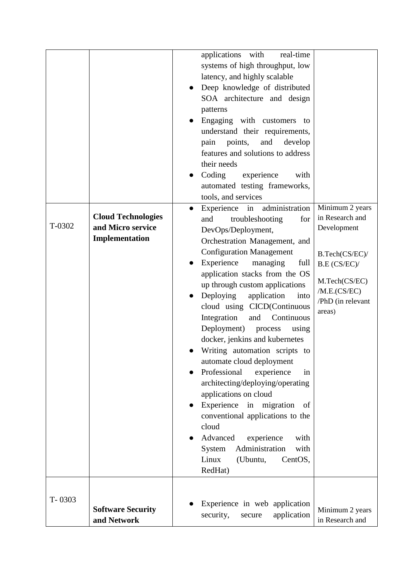|        |                                                                  | applications with<br>real-time<br>systems of high throughput, low<br>latency, and highly scalable<br>Deep knowledge of distributed<br>SOA architecture and design<br>patterns<br>Engaging with customers<br>to<br>understand their requirements,<br>develop<br>pain<br>points,<br>and<br>features and solutions to address<br>their needs<br>Coding<br>experience<br>with<br>automated testing frameworks,<br>tools, and services                                                                                                                                                                                                                                                                                                                                                                                             |                                                                                                                                                     |
|--------|------------------------------------------------------------------|-------------------------------------------------------------------------------------------------------------------------------------------------------------------------------------------------------------------------------------------------------------------------------------------------------------------------------------------------------------------------------------------------------------------------------------------------------------------------------------------------------------------------------------------------------------------------------------------------------------------------------------------------------------------------------------------------------------------------------------------------------------------------------------------------------------------------------|-----------------------------------------------------------------------------------------------------------------------------------------------------|
| T-0302 | <b>Cloud Technologies</b><br>and Micro service<br>Implementation | administration<br>Experience in<br>$\bullet$<br>and<br>troubleshooting<br>for<br>DevOps/Deployment,<br>Orchestration Management, and<br><b>Configuration Management</b><br>Experience<br>managing<br>full<br>application stacks from the OS<br>up through custom applications<br>Deploying<br>application<br>into<br>cloud using CICD(Continuous<br>Integration<br>and<br>Continuous<br>Deployment)<br>process<br>using<br>docker, jenkins and kubernetes<br>Writing automation scripts to<br>automate cloud deployment<br>Professional<br>experience<br>in<br>architecting/deploying/operating<br>applications on cloud<br>Experience<br>in<br>migration<br>of<br>conventional applications to the<br>cloud<br>Advanced<br>experience<br>with<br>Administration<br>with<br>System<br>Linux<br>(Ubuntu,<br>CentOS,<br>RedHat) | Minimum 2 years<br>in Research and<br>Development<br>B.Tech(CS/EC)/<br>B.E (CS/EC)/<br>M.Tech(CS/EC)<br>/M.E.(CS/EC)<br>/PhD (in relevant<br>areas) |
| T-0303 | <b>Software Security</b><br>and Network                          | Experience in web application<br>security,<br>application<br>secure                                                                                                                                                                                                                                                                                                                                                                                                                                                                                                                                                                                                                                                                                                                                                           | Minimum 2 years<br>in Research and                                                                                                                  |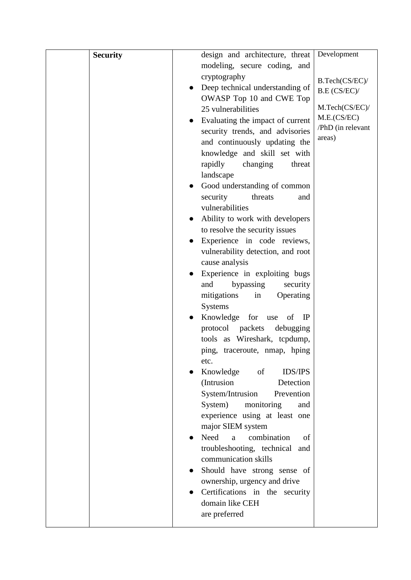| <b>Security</b> | design and architecture, threat              | Development       |
|-----------------|----------------------------------------------|-------------------|
|                 | modeling, secure coding, and                 |                   |
|                 | cryptography                                 | B.Tech(CS/EC)/    |
|                 | Deep technical understanding of              | B.E (CS/EC)/      |
|                 | OWASP Top 10 and CWE Top                     |                   |
|                 | 25 vulnerabilities                           | M.Tech(CS/EC)/    |
|                 | Evaluating the impact of current             | M.E.(CS/EC)       |
|                 | security trends, and advisories              | /PhD (in relevant |
|                 | and continuously updating the                | areas)            |
|                 | knowledge and skill set with                 |                   |
|                 | rapidly<br>changing<br>threat                |                   |
|                 | landscape                                    |                   |
|                 | Good understanding of common                 |                   |
|                 | security<br>threats<br>and                   |                   |
|                 | vulnerabilities                              |                   |
|                 | Ability to work with developers              |                   |
|                 | to resolve the security issues               |                   |
|                 | Experience in code reviews,                  |                   |
|                 | vulnerability detection, and root            |                   |
|                 | cause analysis                               |                   |
|                 | Experience in exploiting bugs                |                   |
|                 | bypassing<br>security<br>and                 |                   |
|                 | mitigations<br>in<br>Operating               |                   |
|                 | <b>Systems</b>                               |                   |
|                 | Knowledge<br>for<br>of<br>$_{\rm IP}$<br>use |                   |
|                 | protocol packets<br>debugging                |                   |
|                 | tools as Wireshark, tcpdump,                 |                   |
|                 | ping, traceroute, nmap, hping                |                   |
|                 | etc.                                         |                   |
|                 | <b>IDS/IPS</b><br>Knowledge<br>of            |                   |
|                 | (Intrusion<br>Detection                      |                   |
|                 | System/Intrusion<br>Prevention               |                   |
|                 | System)<br>monitoring<br>and                 |                   |
|                 | experience using at least one                |                   |
|                 | major SIEM system                            |                   |
|                 | combination<br>Need<br>a<br>of               |                   |
|                 | troubleshooting, technical and               |                   |
|                 | communication skills                         |                   |
|                 | Should have strong sense of                  |                   |
|                 | ownership, urgency and drive                 |                   |
|                 | Certifications in the security               |                   |
|                 | domain like CEH                              |                   |
|                 | are preferred                                |                   |
|                 |                                              |                   |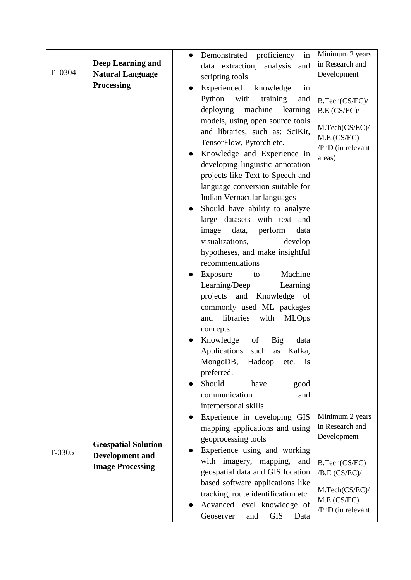|        |                            | Demonstrated proficiency<br>in<br>$\bullet$ | Minimum 2 years   |
|--------|----------------------------|---------------------------------------------|-------------------|
|        | <b>Deep Learning and</b>   | data extraction, analysis<br>and            | in Research and   |
| T-0304 | <b>Natural Language</b>    | scripting tools                             | Development       |
|        | <b>Processing</b>          | Experienced<br>knowledge<br>in<br>$\bullet$ |                   |
|        |                            | Python<br>with<br>training<br>and           | B.Tech(CS/EC)/    |
|        |                            | deploying<br>machine learning               | B.E (CS/EC)/      |
|        |                            | models, using open source tools             |                   |
|        |                            | and libraries, such as: SciKit,             | M.Tech(CS/EC)/    |
|        |                            | TensorFlow, Pytorch etc.                    | M.E.(CS/EC)       |
|        |                            | Knowledge and Experience in<br>$\bullet$    | /PhD (in relevant |
|        |                            | developing linguistic annotation            | areas)            |
|        |                            | projects like Text to Speech and            |                   |
|        |                            |                                             |                   |
|        |                            | language conversion suitable for            |                   |
|        |                            | Indian Vernacular languages                 |                   |
|        |                            | Should have ability to analyze              |                   |
|        |                            | large datasets with text and                |                   |
|        |                            | image<br>data, perform<br>data              |                   |
|        |                            | visualizations,<br>develop                  |                   |
|        |                            | hypotheses, and make insightful             |                   |
|        |                            | recommendations                             |                   |
|        |                            | Machine<br>Exposure<br>to                   |                   |
|        |                            | Learning/Deep<br>Learning                   |                   |
|        |                            | projects and Knowledge of                   |                   |
|        |                            | commonly used ML packages                   |                   |
|        |                            | libraries<br>with<br><b>MLOps</b><br>and    |                   |
|        |                            | concepts                                    |                   |
|        |                            | Knowledge<br>of<br><b>Big</b><br>data       |                   |
|        |                            | Applications<br>such as Kafka,              |                   |
|        |                            | MongoDB,<br>Hadoop<br>etc.<br>1S            |                   |
|        |                            | preferred.                                  |                   |
|        |                            | Should<br>have<br>good                      |                   |
|        |                            | communication<br>and                        |                   |
|        |                            | interpersonal skills                        |                   |
|        |                            | Experience in developing GIS<br>$\bullet$   | Minimum 2 years   |
|        |                            | mapping applications and using              | in Research and   |
|        | <b>Geospatial Solution</b> | geoprocessing tools                         | Development       |
| T-0305 | <b>Development and</b>     | Experience using and working                |                   |
|        | <b>Image Processing</b>    | with imagery, mapping,<br>and               | B.Tech(CS/EC)     |
|        |                            | geospatial data and GIS location            | /B.E (CS/EC)/     |
|        |                            | based software applications like            | M.Tech(CS/EC)/    |
|        |                            | tracking, route identification etc.         | M.E.(CS/EC)       |
|        |                            | Advanced level knowledge of                 | /PhD (in relevant |
|        |                            | <b>GIS</b><br>Geoserver<br>and<br>Data      |                   |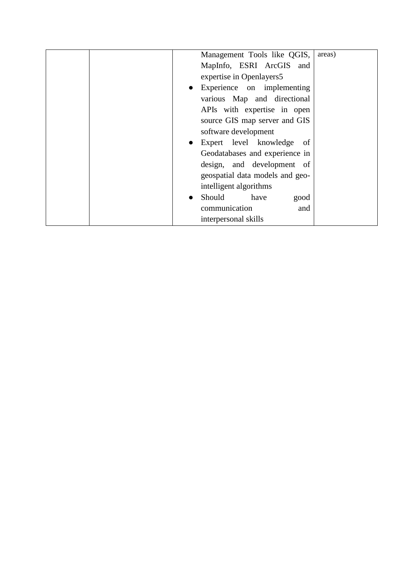|  | Management Tools like QGIS,               | areas) |
|--|-------------------------------------------|--------|
|  | MapInfo, ESRI ArcGIS and                  |        |
|  | expertise in Openlayers5                  |        |
|  | • Experience on implementing              |        |
|  | various Map and directional               |        |
|  | APIs with expertise in open               |        |
|  | source GIS map server and GIS             |        |
|  | software development                      |        |
|  | Expert level knowledge<br>of<br>$\bullet$ |        |
|  | Geodatabases and experience in            |        |
|  | design, and development of                |        |
|  | geospatial data models and geo-           |        |
|  | intelligent algorithms                    |        |
|  | Should<br>have<br>good<br>$\bullet$       |        |
|  | communication<br>and                      |        |
|  | interpersonal skills                      |        |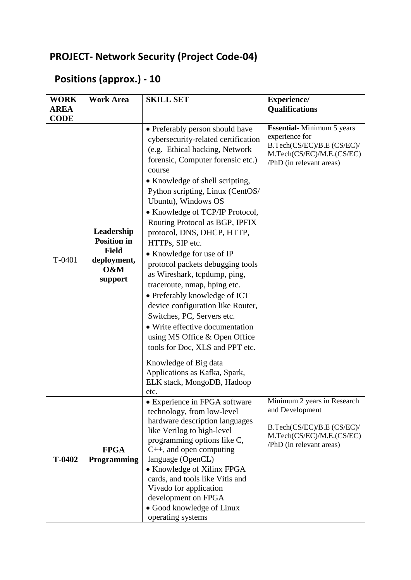### **PROJECT- Network Security (Project Code-04)**

### **Positions (approx.) - 10**

| <b>WORK</b> | <b>Work Area</b>                                                                  | <b>SKILL SET</b>                                                                                                                                                                                                                                                                                                                                                                                                                                                                                                                                                                                                                                                                                                                                                                     | <b>Experience/</b>                                                                                                                    |
|-------------|-----------------------------------------------------------------------------------|--------------------------------------------------------------------------------------------------------------------------------------------------------------------------------------------------------------------------------------------------------------------------------------------------------------------------------------------------------------------------------------------------------------------------------------------------------------------------------------------------------------------------------------------------------------------------------------------------------------------------------------------------------------------------------------------------------------------------------------------------------------------------------------|---------------------------------------------------------------------------------------------------------------------------------------|
| <b>AREA</b> |                                                                                   |                                                                                                                                                                                                                                                                                                                                                                                                                                                                                                                                                                                                                                                                                                                                                                                      | <b>Qualifications</b>                                                                                                                 |
| <b>CODE</b> |                                                                                   | • Preferably person should have                                                                                                                                                                                                                                                                                                                                                                                                                                                                                                                                                                                                                                                                                                                                                      | <b>Essential-Minimum 5 years</b>                                                                                                      |
| T-0401      | Leadership<br><b>Position in</b><br><b>Field</b><br>deployment,<br>0&M<br>support | cybersecurity-related certification<br>(e.g. Ethical hacking, Network<br>forensic, Computer forensic etc.)<br>course<br>• Knowledge of shell scripting,<br>Python scripting, Linux (CentOS/<br>Ubuntu), Windows OS<br>• Knowledge of TCP/IP Protocol,<br>Routing Protocol as BGP, IPFIX<br>protocol, DNS, DHCP, HTTP,<br>HTTPs, SIP etc.<br>• Knowledge for use of IP<br>protocol packets debugging tools<br>as Wireshark, tcpdump, ping,<br>traceroute, nmap, hping etc.<br>• Preferably knowledge of ICT<br>device configuration like Router,<br>Switches, PC, Servers etc.<br>• Write effective documentation<br>using MS Office & Open Office<br>tools for Doc, XLS and PPT etc.<br>Knowledge of Big data<br>Applications as Kafka, Spark,<br>ELK stack, MongoDB, Hadoop<br>etc. | experience for<br>B.Tech(CS/EC)/B.E (CS/EC)/<br>M.Tech(CS/EC)/M.E.(CS/EC)<br>/PhD (in relevant areas)                                 |
| T-0402      | <b>FPGA</b><br>Programming                                                        | · Experience in FPGA software<br>technology, from low-level<br>hardware description languages<br>like Verilog to high-level<br>programming options like C,<br>$C_{++}$ , and open computing<br>language (OpenCL)<br>• Knowledge of Xilinx FPGA<br>cards, and tools like Vitis and<br>Vivado for application<br>development on FPGA<br>• Good knowledge of Linux<br>operating systems                                                                                                                                                                                                                                                                                                                                                                                                 | Minimum 2 years in Research<br>and Development<br>B.Tech(CS/EC)/B.E (CS/EC)/<br>M.Tech(CS/EC)/M.E.(CS/EC)<br>/PhD (in relevant areas) |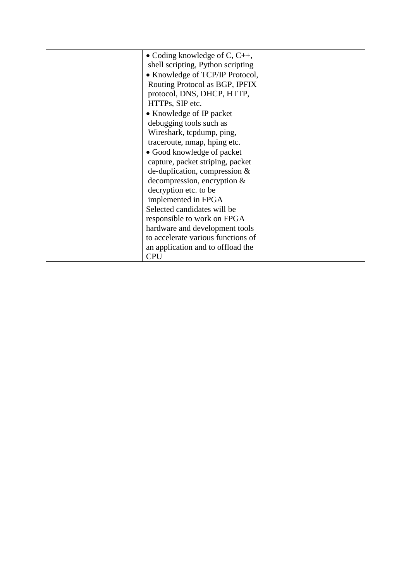|  | • Coding knowledge of C, $C_{++}$ , |  |
|--|-------------------------------------|--|
|  | shell scripting, Python scripting   |  |
|  | • Knowledge of TCP/IP Protocol,     |  |
|  | Routing Protocol as BGP, IPFIX      |  |
|  | protocol, DNS, DHCP, HTTP,          |  |
|  | HTTPs, SIP etc.                     |  |
|  | • Knowledge of IP packet            |  |
|  | debugging tools such as             |  |
|  | Wireshark, tcpdump, ping,           |  |
|  | traceroute, nmap, hping etc.        |  |
|  | • Good knowledge of packet          |  |
|  | capture, packet striping, packet    |  |
|  | de-duplication, compression &       |  |
|  | decompression, encryption $&$       |  |
|  | decryption etc. to be               |  |
|  | implemented in FPGA                 |  |
|  | Selected candidates will be         |  |
|  | responsible to work on FPGA         |  |
|  | hardware and development tools      |  |
|  | to accelerate various functions of  |  |
|  | an application and to offload the   |  |
|  | <b>CPU</b>                          |  |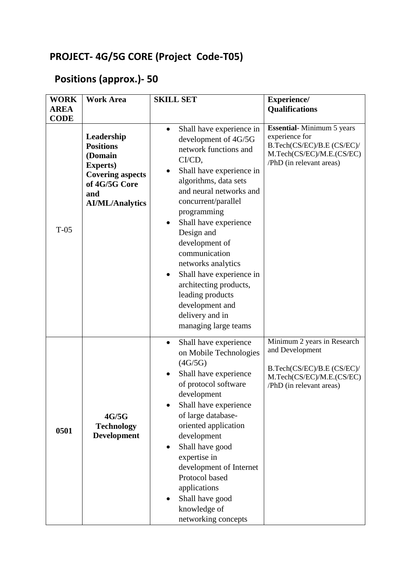### **PROJECT- 4G/5G CORE (Project Code-T05)**

### **Positions (approx.)- 50**

| <b>WORK</b><br><b>AREA</b><br><b>CODE</b> | <b>Work Area</b>                                                                                                                           | <b>SKILL SET</b>                                                                                                                                                                                                                                                                                                                                                                                                                                                            | <b>Experience/</b><br><b>Qualifications</b>                                                                                               |
|-------------------------------------------|--------------------------------------------------------------------------------------------------------------------------------------------|-----------------------------------------------------------------------------------------------------------------------------------------------------------------------------------------------------------------------------------------------------------------------------------------------------------------------------------------------------------------------------------------------------------------------------------------------------------------------------|-------------------------------------------------------------------------------------------------------------------------------------------|
| $T-0.5$                                   | Leadership<br><b>Positions</b><br>(Domain<br><b>Experts</b> )<br><b>Covering aspects</b><br>of 4G/5G Core<br>and<br><b>AI/ML/Analytics</b> | Shall have experience in<br>$\bullet$<br>development of 4G/5G<br>network functions and<br>CI/CD,<br>Shall have experience in<br>$\bullet$<br>algorithms, data sets<br>and neural networks and<br>concurrent/parallel<br>programming<br>Shall have experience<br>Design and<br>development of<br>communication<br>networks analytics<br>Shall have experience in<br>architecting products,<br>leading products<br>development and<br>delivery and in<br>managing large teams | <b>Essential-Minimum 5 years</b><br>experience for<br>B.Tech(CS/EC)/B.E (CS/EC)/<br>M.Tech(CS/EC)/M.E.(CS/EC)<br>/PhD (in relevant areas) |
| 0501                                      | 4G/5G<br><b>Technology</b><br><b>Development</b>                                                                                           | Shall have experience<br>$\bullet$<br>on Mobile Technologies<br>(4G/5G)<br>Shall have experience<br>of protocol software<br>development<br>Shall have experience<br>of large database-<br>oriented application<br>development<br>Shall have good<br>$\bullet$<br>expertise in<br>development of Internet<br>Protocol based<br>applications<br>Shall have good<br>$\bullet$<br>knowledge of<br>networking concepts                                                           | Minimum 2 years in Research<br>and Development<br>B.Tech(CS/EC)/B.E (CS/EC)/<br>M.Tech(CS/EC)/M.E.(CS/EC)<br>/PhD (in relevant areas)     |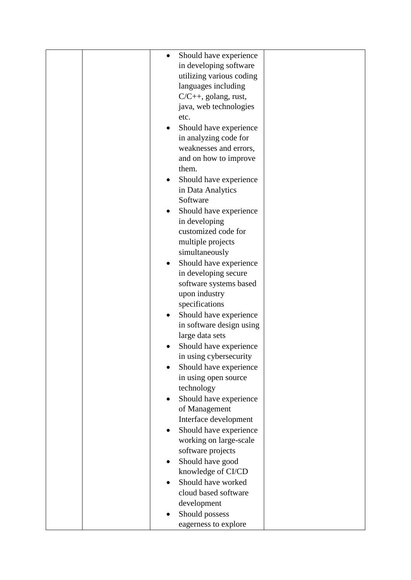|  | Should have experience<br>$\bullet$ |  |
|--|-------------------------------------|--|
|  | in developing software              |  |
|  | utilizing various coding            |  |
|  | languages including                 |  |
|  | $C/C++$ , golang, rust,             |  |
|  | java, web technologies              |  |
|  | etc.                                |  |
|  | Should have experience              |  |
|  | in analyzing code for               |  |
|  | weaknesses and errors,              |  |
|  | and on how to improve               |  |
|  | them.                               |  |
|  | Should have experience<br>٠         |  |
|  | in Data Analytics                   |  |
|  | Software                            |  |
|  | Should have experience              |  |
|  | in developing                       |  |
|  | customized code for                 |  |
|  | multiple projects                   |  |
|  | simultaneously                      |  |
|  | Should have experience<br>٠         |  |
|  | in developing secure                |  |
|  | software systems based              |  |
|  | upon industry                       |  |
|  | specifications                      |  |
|  | Should have experience              |  |
|  | in software design using            |  |
|  | large data sets                     |  |
|  | Should have experience              |  |
|  | in using cybersecurity              |  |
|  | Should have experience              |  |
|  | in using open source                |  |
|  | technology                          |  |
|  | Should have experience<br>٠         |  |
|  | of Management                       |  |
|  | Interface development               |  |
|  | Should have experience              |  |
|  | working on large-scale              |  |
|  | software projects                   |  |
|  | Should have good                    |  |
|  | knowledge of CI/CD                  |  |
|  | Should have worked                  |  |
|  | cloud based software                |  |
|  | development                         |  |
|  | Should possess                      |  |
|  | eagerness to explore                |  |
|  |                                     |  |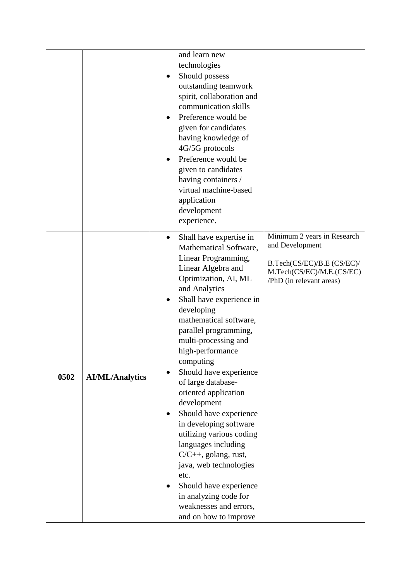|                                | and learn new<br>technologies<br>Should possess<br>٠<br>outstanding teamwork<br>spirit, collaboration and<br>communication skills<br>Preference would be<br>given for candidates<br>having knowledge of<br>4G/5G protocols<br>Preference would be<br>given to candidates<br>having containers /<br>virtual machine-based<br>application<br>development<br>experience.                                                                                                                                                                                                                                                                                                                    |                                                                                                                                       |
|--------------------------------|------------------------------------------------------------------------------------------------------------------------------------------------------------------------------------------------------------------------------------------------------------------------------------------------------------------------------------------------------------------------------------------------------------------------------------------------------------------------------------------------------------------------------------------------------------------------------------------------------------------------------------------------------------------------------------------|---------------------------------------------------------------------------------------------------------------------------------------|
| 0502<br><b>AI/ML/Analytics</b> | Shall have expertise in<br>$\bullet$<br>Mathematical Software,<br>Linear Programming,<br>Linear Algebra and<br>Optimization, AI, ML<br>and Analytics<br>Shall have experience in<br>developing<br>mathematical software,<br>parallel programming,<br>multi-processing and<br>high-performance<br>computing<br>Should have experience<br>of large database-<br>oriented application<br>development<br>Should have experience<br>$\bullet$<br>in developing software<br>utilizing various coding<br>languages including<br>$C/C++$ , golang, rust,<br>java, web technologies<br>etc.<br>Should have experience<br>in analyzing code for<br>weaknesses and errors,<br>and on how to improve | Minimum 2 years in Research<br>and Development<br>B.Tech(CS/EC)/B.E (CS/EC)/<br>M.Tech(CS/EC)/M.E.(CS/EC)<br>/PhD (in relevant areas) |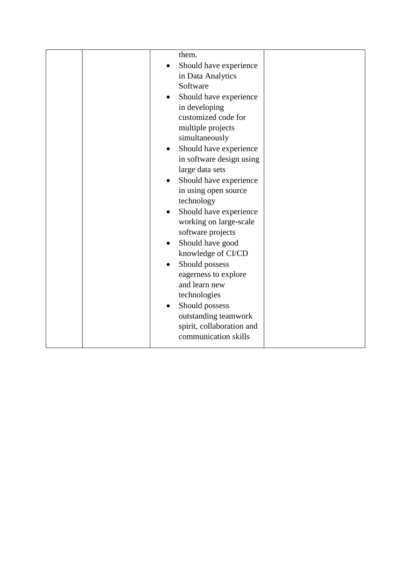| them.<br>Should have experience<br>in Data Analytics<br>Software<br>Should have experience<br>in developing<br>customized code for<br>multiple projects<br>simultaneously<br>Should have experience<br>in software design using<br>large data sets<br>Should have experience<br>$\bullet$<br>in using open source<br>technology<br>Should have experience<br>$\bullet$<br>working on large-scale<br>software projects<br>Should have good<br>$\bullet$<br>knowledge of CI/CD<br>Should possess<br>$\bullet$<br>eagerness to explore<br>and learn new<br>technologies<br>Should possess<br>outstanding teamwork |  |
|----------------------------------------------------------------------------------------------------------------------------------------------------------------------------------------------------------------------------------------------------------------------------------------------------------------------------------------------------------------------------------------------------------------------------------------------------------------------------------------------------------------------------------------------------------------------------------------------------------------|--|
| spirit, collaboration and<br>communication skills                                                                                                                                                                                                                                                                                                                                                                                                                                                                                                                                                              |  |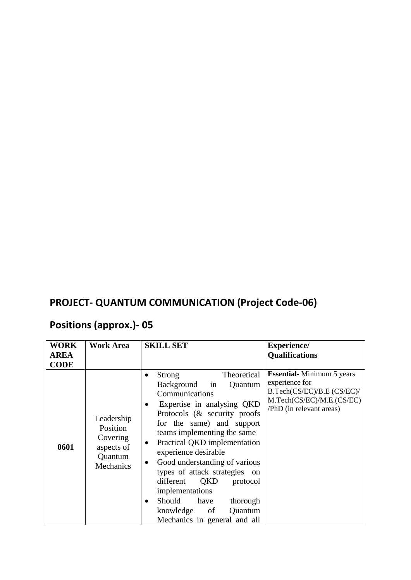### **PROJECT- QUANTUM COMMUNICATION (Project Code-06)**

# **Positions (approx.)- 05**

| <b>WORK</b><br><b>AREA</b><br><b>CODE</b> | <b>Work Area</b>                                                         | <b>SKILL SET</b>                                                                                                                                                                                                                                                                                                                                                                                                                                                          | Experience/<br><b>Qualifications</b>                                                                                                      |
|-------------------------------------------|--------------------------------------------------------------------------|---------------------------------------------------------------------------------------------------------------------------------------------------------------------------------------------------------------------------------------------------------------------------------------------------------------------------------------------------------------------------------------------------------------------------------------------------------------------------|-------------------------------------------------------------------------------------------------------------------------------------------|
| 0601                                      | Leadership<br>Position<br>Covering<br>aspects of<br>Quantum<br>Mechanics | Theoretical<br>Strong<br>Background<br>in<br>Quantum<br>Communications<br>Expertise in analysing QKD<br>٠<br>Protocols (& security proofs)<br>for the same) and support<br>teams implementing the same<br>Practical QKD implementation<br>experience desirable<br>Good understanding of various<br>types of attack strategies on<br>QKD<br>different<br>protocol<br>implementations<br>Should have<br>thorough<br>knowledge of<br>Quantum<br>Mechanics in general and all | <b>Essential-Minimum 5 years</b><br>experience for<br>B.Tech(CS/EC)/B.E (CS/EC)/<br>M.Tech(CS/EC)/M.E.(CS/EC)<br>/PhD (in relevant areas) |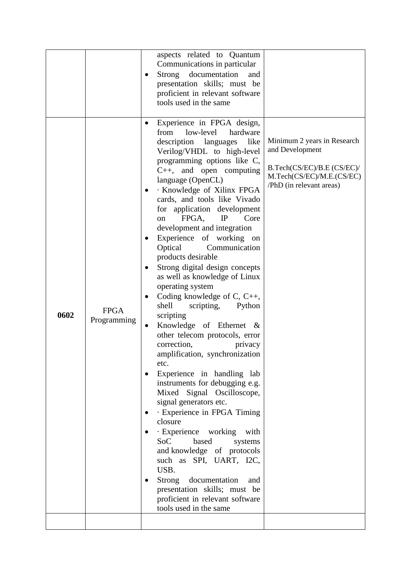| 0602 | <b>FPGA</b><br>Programming | aspects related to Quantum<br>Communications in particular<br><b>Strong</b><br>documentation<br>and<br>presentation skills; must be<br>proficient in relevant software<br>tools used in the same<br>Experience in FPGA design,<br>from<br>low-level<br>hardware<br>description languages<br>like<br>Verilog/VHDL to high-level<br>programming options like C,<br>$C_{++}$ , and open computing<br>language (OpenCL)<br>· Knowledge of Xilinx FPGA<br>cards, and tools like Vivado<br>for application development<br>Core<br>FPGA,<br>IP<br><sub>on</sub><br>development and integration<br>Experience of working on<br>Optical<br>Communication<br>products desirable<br>Strong digital design concepts<br>as well as knowledge of Linux<br>operating system<br>Coding knowledge of C, C++,<br>shell<br>scripting,<br>Python<br>scripting | Minimum 2 years in Research<br>and Development<br>B.Tech(CS/EC)/B.E (CS/EC)/<br>M.Tech(CS/EC)/M.E.(CS/EC)<br>/PhD (in relevant areas) |
|------|----------------------------|-------------------------------------------------------------------------------------------------------------------------------------------------------------------------------------------------------------------------------------------------------------------------------------------------------------------------------------------------------------------------------------------------------------------------------------------------------------------------------------------------------------------------------------------------------------------------------------------------------------------------------------------------------------------------------------------------------------------------------------------------------------------------------------------------------------------------------------------|---------------------------------------------------------------------------------------------------------------------------------------|
|      |                            | Knowledge of Ethernet &<br>other telecom protocols, error<br>correction,<br>privacy<br>amplification, synchronization<br>etc.<br>Experience in handling lab<br>instruments for debugging e.g.<br>Mixed Signal Oscilloscope,<br>signal generators etc.<br>· Experience in FPGA Timing<br>closure<br>· Experience working<br>with<br><b>SoC</b><br>based<br>systems<br>and knowledge of protocols<br>such as SPI, UART, I2C,<br>USB.<br>Strong documentation<br>and<br>presentation skills; must be<br>proficient in relevant software<br>tools used in the same                                                                                                                                                                                                                                                                            |                                                                                                                                       |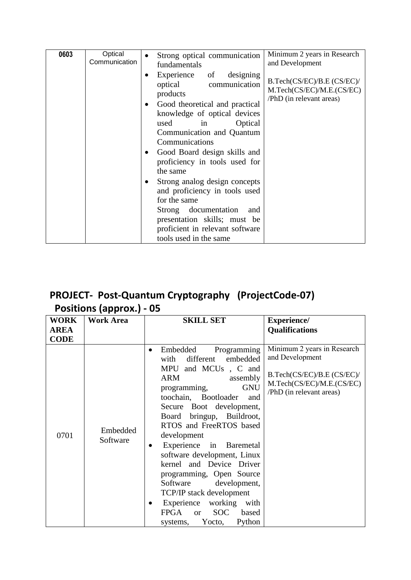| 0603 | Optical                     | Strong optical communication                                                                                                                                                                                                                                                                                                                                                                                                                                                                               | Minimum 2 years in Research                                                         |
|------|-----------------------------|------------------------------------------------------------------------------------------------------------------------------------------------------------------------------------------------------------------------------------------------------------------------------------------------------------------------------------------------------------------------------------------------------------------------------------------------------------------------------------------------------------|-------------------------------------------------------------------------------------|
|      | Communication               | fundamentals                                                                                                                                                                                                                                                                                                                                                                                                                                                                                               | and Development                                                                     |
|      | $\bullet$<br>$\bullet$<br>٠ | designing<br>Experience of<br>optical<br>communication<br>products<br>Good theoretical and practical<br>knowledge of optical devices<br>Optical<br>used<br>in<br>Communication and Quantum<br>Communications<br>Good Board design skills and<br>proficiency in tools used for<br>the same<br>Strong analog design concepts<br>and proficiency in tools used<br>for the same<br>documentation<br>Strong<br>and<br>presentation skills; must be<br>proficient in relevant software<br>tools used in the same | B.Tech(CS/EC)/B.E (CS/EC)/<br>M.Tech(CS/EC)/M.E.(CS/EC)<br>/PhD (in relevant areas) |

#### **PROJECT- Post-Quantum Cryptography (ProjectCode-07) Positions (approx.) - 05**

| <b>WORK</b> | <b>Work Area</b>     | <b>SKILL SET</b>                                                                                                                                                                                                                                                                                                                                                                                                                                                                                                                                                              | <b>Experience/</b>                                                                                                                    |
|-------------|----------------------|-------------------------------------------------------------------------------------------------------------------------------------------------------------------------------------------------------------------------------------------------------------------------------------------------------------------------------------------------------------------------------------------------------------------------------------------------------------------------------------------------------------------------------------------------------------------------------|---------------------------------------------------------------------------------------------------------------------------------------|
| <b>AREA</b> |                      |                                                                                                                                                                                                                                                                                                                                                                                                                                                                                                                                                                               | <b>Qualifications</b>                                                                                                                 |
| <b>CODE</b> |                      |                                                                                                                                                                                                                                                                                                                                                                                                                                                                                                                                                                               |                                                                                                                                       |
| 0701        | Embedded<br>Software | Programming<br>Embedded<br>$\bullet$<br>different<br>embedded<br>with<br>MPU and MCUs, C and<br>ARM<br>assembly<br><b>GNU</b><br>programming,<br>toochain, Bootloader<br>and<br>Secure Boot development,<br>bringup, Buildroot,<br>Board<br>RTOS and FreeRTOS based<br>development<br>Experience in Baremetal<br>software development, Linux<br>kernel and Device Driver<br>programming, Open Source<br>Software development,<br>TCP/IP stack development<br>Experience working<br>with<br>$\bullet$<br><b>SOC</b><br>FPGA<br>based<br><b>or</b><br>Python<br>systems, Yocto, | Minimum 2 years in Research<br>and Development<br>B.Tech(CS/EC)/B.E (CS/EC)/<br>M.Tech(CS/EC)/M.E.(CS/EC)<br>/PhD (in relevant areas) |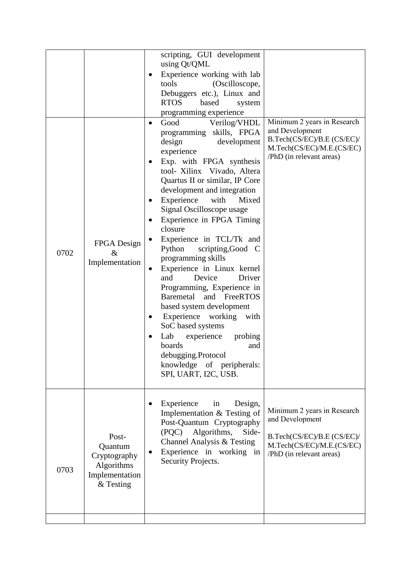| 0702 | FPGA Design<br>$\&$<br>Implementation                                         | scripting, GUI development<br>using Qt/QML<br>Experience working with lab<br>٠<br>tools<br>Debuggers etc.), Linux and<br><b>RTOS</b><br>based<br>programming experience<br>Good<br>programming skills, FPGA<br>design<br>experience<br>Exp. with FPGA synthesis<br>٠<br>tool- Xilinx Vivado, Altera<br>Quartus II or similar, IP Core<br>development and integration<br>Experience<br>Signal Oscilloscope usage<br>Experience in FPGA Timing<br>$\bullet$<br>closure<br>Experience in TCL/Tk and<br>Python<br>programming skills<br>Experience in Linux kernel<br>٠<br>and<br>Device<br>Programming, Experience in<br><b>Baremetal</b><br>and<br>based system development<br>Experience working<br>SoC based systems<br>Lab<br>experience<br>boards<br>debugging.Protocol<br>knowledge of peripherals:<br>SPI, UART, I2C, USB. | (Oscilloscope,<br>system<br>Verilog/VHDL<br>development<br>Mixed<br>with<br>scripting, Good C<br>Driver<br>FreeRTOS<br>with<br>probing<br>and | Minimum 2 years in Research<br>and Development<br>B.Tech(CS/EC)/B.E (CS/EC)/<br>M.Tech(CS/EC)/M.E.(CS/EC)<br>/PhD (in relevant areas) |
|------|-------------------------------------------------------------------------------|--------------------------------------------------------------------------------------------------------------------------------------------------------------------------------------------------------------------------------------------------------------------------------------------------------------------------------------------------------------------------------------------------------------------------------------------------------------------------------------------------------------------------------------------------------------------------------------------------------------------------------------------------------------------------------------------------------------------------------------------------------------------------------------------------------------------------------|-----------------------------------------------------------------------------------------------------------------------------------------------|---------------------------------------------------------------------------------------------------------------------------------------|
|      |                                                                               | Experience<br>in                                                                                                                                                                                                                                                                                                                                                                                                                                                                                                                                                                                                                                                                                                                                                                                                               | Design,                                                                                                                                       |                                                                                                                                       |
| 0703 | Post-<br>Quantum<br>Cryptography<br>Algorithms<br>Implementation<br>& Testing | Implementation & Testing of<br>Post-Quantum Cryptography<br>Algorithms,<br>(PQC)<br>Channel Analysis & Testing<br>Experience in working in<br>Security Projects.                                                                                                                                                                                                                                                                                                                                                                                                                                                                                                                                                                                                                                                               | Side-                                                                                                                                         | Minimum 2 years in Research<br>and Development<br>B.Tech(CS/EC)/B.E (CS/EC)/<br>M.Tech(CS/EC)/M.E.(CS/EC)<br>/PhD (in relevant areas) |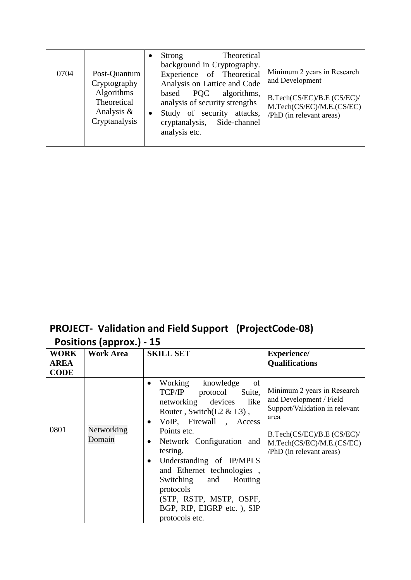| 0704 | Post-Quantum<br>Cryptography<br><b>Algorithms</b><br>Theoretical<br>Analysis $\&$<br>Cryptanalysis | $\bullet$ | Strong<br>background in Cryptography.<br>Experience of Theoretical<br>Analysis on Lattice and Code<br><b>POC</b><br>based<br>analysis of security strengths<br>Study of security attacks,<br>cryptanalysis,<br>analysis etc. | Theoretical<br>algorithms,<br>Side-channel | Minimum 2 years in Research<br>and Development<br>B.Tech(CS/EC)/B.E (CS/EC)/<br>M.Tech(CS/EC)/M.E.(CS/EC)<br>/PhD (in relevant areas) |
|------|----------------------------------------------------------------------------------------------------|-----------|------------------------------------------------------------------------------------------------------------------------------------------------------------------------------------------------------------------------------|--------------------------------------------|---------------------------------------------------------------------------------------------------------------------------------------|
|------|----------------------------------------------------------------------------------------------------|-----------|------------------------------------------------------------------------------------------------------------------------------------------------------------------------------------------------------------------------------|--------------------------------------------|---------------------------------------------------------------------------------------------------------------------------------------|

#### **PROJECT- Validation and Field Support (ProjectCode-08) Positions (approx.) - 15**

| <b>WORK</b>                | <b>Work Area</b>     | <b>SKILL SET</b>                                                                                                                                                                                                                                                                                                                                                                                                    | <b>Experience/</b>                                                                                                                                                                      |
|----------------------------|----------------------|---------------------------------------------------------------------------------------------------------------------------------------------------------------------------------------------------------------------------------------------------------------------------------------------------------------------------------------------------------------------------------------------------------------------|-----------------------------------------------------------------------------------------------------------------------------------------------------------------------------------------|
| <b>AREA</b><br><b>CODE</b> |                      |                                                                                                                                                                                                                                                                                                                                                                                                                     | <b>Qualifications</b>                                                                                                                                                                   |
| 0801                       | Networking<br>Domain | of<br>Working<br>knowledge<br>TCP/IP<br>protocol<br>Suite,<br>networking devices<br>like<br>Router, Switch $(L2 \& L3)$ ,<br>VoIP, Firewall, Access<br>٠<br>Points etc.<br>Network Configuration and<br>٠<br>testing.<br>Understanding of IP/MPLS<br>$\bullet$<br>and Ethernet technologies,<br>Switching<br>Routing<br>and<br>protocols<br>(STP, RSTP, MSTP, OSPF,<br>BGP, RIP, EIGRP etc.), SIP<br>protocols etc. | Minimum 2 years in Research<br>and Development / Field<br>Support/Validation in relevant<br>area<br>B.Tech(CS/EC)/B.E (CS/EC)/<br>M.Tech(CS/EC)/M.E.(CS/EC)<br>/PhD (in relevant areas) |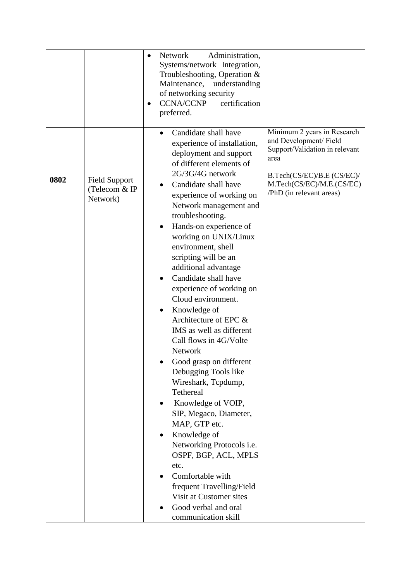|      |                                                   | Network<br>Administration,<br>$\bullet$<br>Systems/network Integration,<br>Troubleshooting, Operation &<br>Maintenance,<br>understanding<br>of networking security<br><b>CCNA/CCNP</b><br>certification<br>preferred.                                                                                                                                                                                                                                                                                                                                                                                                                                                                                                                                                                                                                                                                                                                                                                                                                                                                              |
|------|---------------------------------------------------|----------------------------------------------------------------------------------------------------------------------------------------------------------------------------------------------------------------------------------------------------------------------------------------------------------------------------------------------------------------------------------------------------------------------------------------------------------------------------------------------------------------------------------------------------------------------------------------------------------------------------------------------------------------------------------------------------------------------------------------------------------------------------------------------------------------------------------------------------------------------------------------------------------------------------------------------------------------------------------------------------------------------------------------------------------------------------------------------------|
| 0802 | <b>Field Support</b><br>(Telecom & IP<br>Network) | Minimum 2 years in Research<br>Candidate shall have<br>and Development/Field<br>experience of installation,<br>Support/Validation in relevant<br>deployment and support<br>area<br>of different elements of<br>2G/3G/4G network<br>B.Tech(CS/EC)/B.E (CS/EC)/<br>M.Tech(CS/EC)/M.E.(CS/EC)<br>Candidate shall have<br>/PhD (in relevant areas)<br>experience of working on<br>Network management and<br>troubleshooting.<br>Hands-on experience of<br>working on UNIX/Linux<br>environment, shell<br>scripting will be an<br>additional advantage<br>Candidate shall have<br>experience of working on<br>Cloud environment.<br>Knowledge of<br>Architecture of EPC &<br>IMS as well as different<br>Call flows in 4G/Volte<br><b>Network</b><br>Good grasp on different<br>Debugging Tools like<br>Wireshark, Tcpdump,<br>Tethereal<br>Knowledge of VOIP,<br>$\bullet$<br>SIP, Megaco, Diameter,<br>MAP, GTP etc.<br>Knowledge of<br>Networking Protocols i.e.<br>OSPF, BGP, ACL, MPLS<br>etc.<br>Comfortable with<br>frequent Travelling/Field<br>Visit at Customer sites<br>Good verbal and oral |
|      |                                                   | communication skill                                                                                                                                                                                                                                                                                                                                                                                                                                                                                                                                                                                                                                                                                                                                                                                                                                                                                                                                                                                                                                                                                |